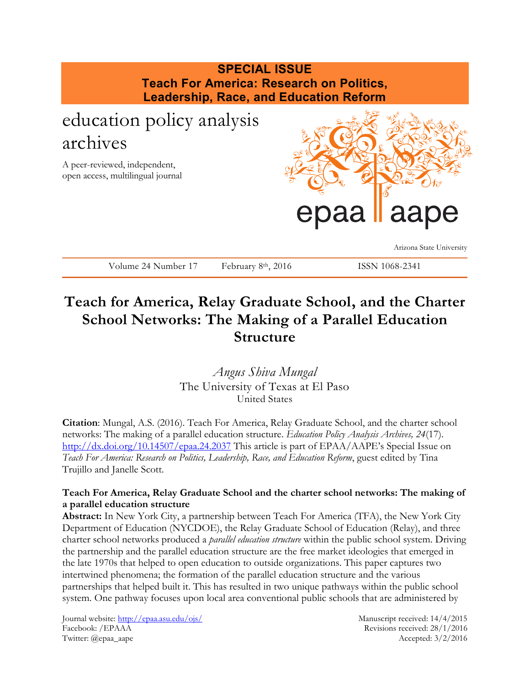

# **Teach for America, Relay Graduate School, and the Charter School Networks: The Making of a Parallel Education Structure**

*Angus Shiva Mungal* The University of Texas at El Paso United States

**Citation**: Mungal, A.S. (2016). Teach For America, Relay Graduate School, and the charter school networks: The making of a parallel education structure. *Education Policy Analysis Archives, 24*(17). <http://dx.doi.org/10.14507/epaa.24.2037> This article is part of EPAA/AAPE's Special Issue on *Teach For America: Research on Politics, Leadership, Race, and Education Reform*, guest edited by Tina Trujillo and Janelle Scott.

# **Teach For America, Relay Graduate School and the charter school networks: The making of a parallel education structure**

**Abstract:** In New York City, a partnership between Teach For America (TFA), the New York City Department of Education (NYCDOE), the Relay Graduate School of Education (Relay), and three charter school networks produced a *parallel education structure* within the public school system. Driving the partnership and the parallel education structure are the free market ideologies that emerged in the late 1970s that helped to open education to outside organizations. This paper captures two intertwined phenomena; the formation of the parallel education structure and the various partnerships that helped built it. This has resulted in two unique pathways within the public school system. One pathway focuses upon local area conventional public schools that are administered by

Journal website:<http://epaa.asu.edu/ojs/> Manuscript received: 14/4/2015 Facebook: /EPAAA Revisions received: 28/1/2016 Twitter: @epaa\_aape Accepted: 3/2/2016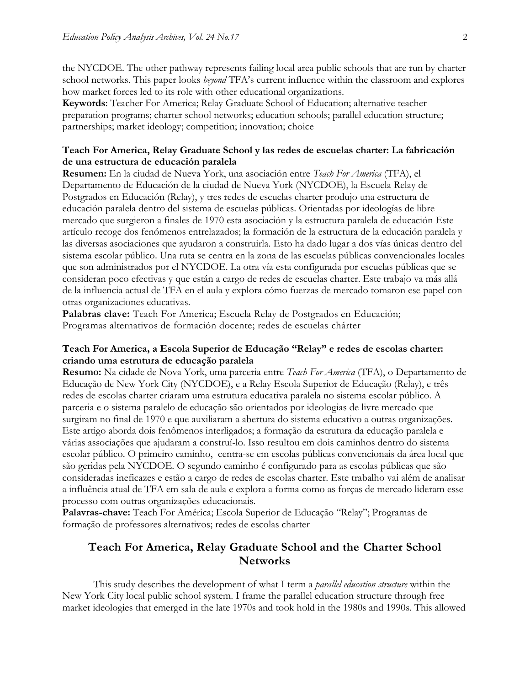the NYCDOE. The other pathway represents failing local area public schools that are run by charter school networks. This paper looks *beyond* TFA's current influence within the classroom and explores how market forces led to its role with other educational organizations.

**Keywords**: Teacher For America; Relay Graduate School of Education; alternative teacher preparation programs; charter school networks; education schools; parallel education structure; partnerships; market ideology; competition; innovation; choice

#### **Teach For America, Relay Graduate School y las redes de escuelas charter: La fabricación de una estructura de educación paralela**

**Resumen:** En la ciudad de Nueva York, una asociación entre *Teach For America* (TFA), el Departamento de Educación de la ciudad de Nueva York (NYCDOE), la Escuela Relay de Postgrados en Educación (Relay), y tres redes de escuelas charter produjo una estructura de educación paralela dentro del sistema de escuelas públicas. Orientadas por ideologías de libre mercado que surgieron a finales de 1970 esta asociación y la estructura paralela de educación Este artículo recoge dos fenómenos entrelazados; la formación de la estructura de la educación paralela y las diversas asociaciones que ayudaron a construirla. Esto ha dado lugar a dos vías únicas dentro del sistema escolar público. Una ruta se centra en la zona de las escuelas públicas convencionales locales que son administrados por el NYCDOE. La otra vía esta configurada por escuelas públicas que se consideran poco efectivas y que están a cargo de redes de escuelas charter. Este trabajo va más allá de la influencia actual de TFA en el aula y explora cómo fuerzas de mercado tomaron ese papel con otras organizaciones educativas.

**Palabras clave:** Teach For America; Escuela Relay de Postgrados en Educación; Programas alternativos de formación docente; redes de escuelas chárter

# **Teach For America, a Escola Superior de Educação "Relay" e redes de escolas charter: criando uma estrutura de educação paralela**

**Resumo:** Na cidade de Nova York, uma parceria entre *Teach For America* (TFA), o Departamento de Educação de New York City (NYCDOE), e a Relay Escola Superior de Educação (Relay), e três redes de escolas charter criaram uma estrutura educativa paralela no sistema escolar público. A parceria e o sistema paralelo de educação são orientados por ideologias de livre mercado que surgiram no final de 1970 e que auxiliaram a abertura do sistema educativo a outras organizações. Este artigo aborda dois fenômenos interligados; a formação da estrutura da educação paralela e várias associações que ajudaram a construí-lo. Isso resultou em dois caminhos dentro do sistema escolar público. O primeiro caminho, centra-se em escolas públicas convencionais da área local que são geridas pela NYCDOE. O segundo caminho é configurado para as escolas públicas que são consideradas ineficazes e estão a cargo de redes de escolas charter. Este trabalho vai além de analisar a influência atual de TFA em sala de aula e explora a forma como as forças de mercado lideram esse processo com outras organizações educacionais.

**Palavras-chave:** Teach For América; Escola Superior de Educação "Relay"; Programas de formação de professores alternativos; redes de escolas charter

# **Teach For America, Relay Graduate School and the Charter School Networks**

This study describes the development of what I term a *parallel education structure* within the New York City local public school system. I frame the parallel education structure through free market ideologies that emerged in the late 1970s and took hold in the 1980s and 1990s. This allowed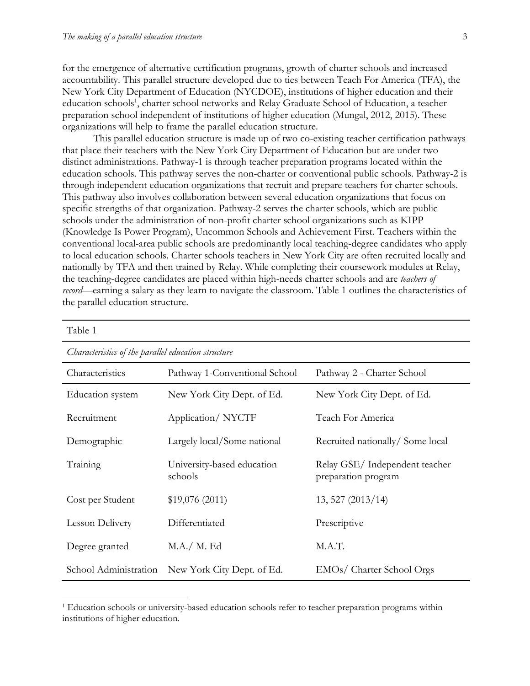$\overline{a}$ 

for the emergence of alternative certification programs, growth of charter schools and increased accountability. This parallel structure developed due to ties between Teach For America (TFA), the New York City Department of Education (NYCDOE), institutions of higher education and their education schools<sup>1</sup>, charter school networks and Relay Graduate School of Education, a teacher preparation school independent of institutions of higher education [\(Mungal, 2012,](#page-22-0) [2015\)](#page-22-1). These organizations will help to frame the parallel education structure.

This parallel education structure is made up of two co-existing teacher certification pathways that place their teachers with the New York City Department of Education but are under two distinct administrations. Pathway-1 is through teacher preparation programs located within the education schools. This pathway serves the non-charter or conventional public schools. Pathway-2 is through independent education organizations that recruit and prepare teachers for charter schools. This pathway also involves collaboration between several education organizations that focus on specific strengths of that organization. Pathway-2 serves the charter schools, which are public schools under the administration of non-profit charter school organizations such as KIPP (Knowledge Is Power Program), Uncommon Schools and Achievement First. Teachers within the conventional local-area public schools are predominantly local teaching-degree candidates who apply to local education schools. Charter schools teachers in New York City are often recruited locally and nationally by TFA and then trained by Relay. While completing their coursework modules at Relay, the teaching-degree candidates are placed within high-needs charter schools and are *teachers of record*—earning a salary as they learn to navigate the classroom. Table 1 outlines the characteristics of the parallel education structure.

| Table 1                                             |                                       |                                                      |  |  |
|-----------------------------------------------------|---------------------------------------|------------------------------------------------------|--|--|
| Characteristics of the parallel education structure |                                       |                                                      |  |  |
| Characteristics                                     | Pathway 1-Conventional School         | Pathway 2 - Charter School                           |  |  |
| Education system                                    | New York City Dept. of Ed.            | New York City Dept. of Ed.                           |  |  |
| Recruitment                                         | Application/NYCTF                     | Teach For America                                    |  |  |
| Demographic                                         | Largely local/Some national           | Recruited nationally/Some local                      |  |  |
| Training                                            | University-based education<br>schools | Relay GSE/Independent teacher<br>preparation program |  |  |
| Cost per Student                                    | \$19,076(2011)                        | 13, 527 (2013/14)                                    |  |  |
| Lesson Delivery                                     | Differentiated                        | Prescriptive                                         |  |  |
| Degree granted                                      | M.A./ M. Ed                           | M.A.T.                                               |  |  |
| School Administration                               | New York City Dept. of Ed.            | EMOs/ Charter School Orgs                            |  |  |

<sup>&</sup>lt;sup>1</sup> Education schools or university-based education schools refer to teacher preparation programs within institutions of higher education.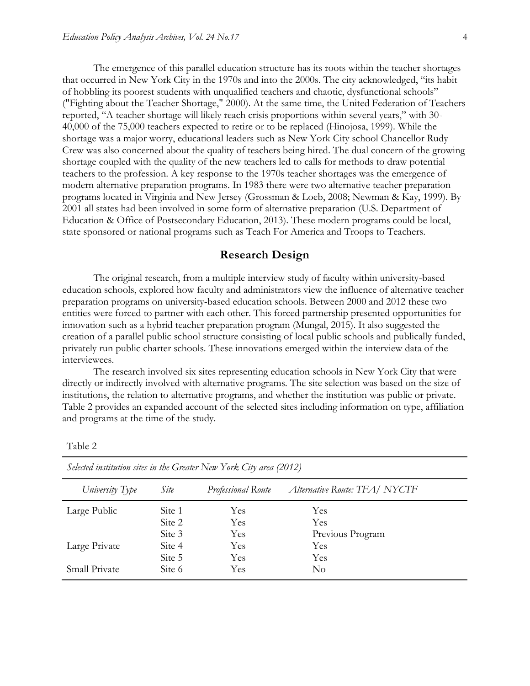The emergence of this parallel education structure has its roots within the teacher shortages that occurred in New York City in the 1970s and into the 2000s. The city acknowledged, "its habit of hobbling its poorest students with unqualified teachers and chaotic, dysfunctional schools" [\("Fighting about the Teacher Shortage," 2000\)](#page-20-0). At the same time, the United Federation of Teachers reported, "A teacher shortage will likely reach crisis proportions within several years," with 30- 40,000 of the 75,000 teachers expected to retire or to be replaced [\(Hinojosa, 1999\)](#page-21-0). While the shortage was a major worry, educational leaders such as New York City school Chancellor Rudy Crew was also concerned about the quality of teachers being hired. The dual concern of the growing shortage coupled with the quality of the new teachers led to calls for methods to draw potential teachers to the profession. A key response to the 1970s teacher shortages was the emergence of modern alternative preparation programs. In 1983 there were two alternative teacher preparation programs located in Virginia and New Jersey [\(Grossman & Loeb, 2008;](#page-20-1) [Newman & Kay, 1999\)](#page-23-0). By 2001 all states had been involved in some form of alternative preparation [\(U.S. Department of](#page-24-0)  [Education & Office of Postsecondary Education, 2013\)](#page-24-0). These modern programs could be local, state sponsored or national programs such as Teach For America and Troops to Teachers.

#### **Research Design**

The original research, from a multiple interview study of faculty within university-based education schools, explored how faculty and administrators view the influence of alternative teacher preparation programs on university-based education schools. Between 2000 and 2012 these two entities were forced to partner with each other. This forced partnership presented opportunities for innovation such as a hybrid teacher preparation program (Mungal, 2015). It also suggested the creation of a parallel public school structure consisting of local public schools and publically funded, privately run public charter schools. These innovations emerged within the interview data of the interviewees.

The research involved six sites representing education schools in New York City that were directly or indirectly involved with alternative programs. The site selection was based on the size of institutions, the relation to alternative programs, and whether the institution was public or private. Table 2 provides an expanded account of the selected sites including information on type, affiliation and programs at the time of the study.

| ante |  |
|------|--|
|------|--|

| Selected institution sites in the Greater Tyen Tork City area $[2012]$ |        |                    |                              |  |
|------------------------------------------------------------------------|--------|--------------------|------------------------------|--|
| University Type                                                        | Site   | Professional Route | Alternative Route: TFA/NYCTF |  |
| Large Public                                                           | Site 1 | Yes                | Yes                          |  |
|                                                                        | Site 2 | Yes                | Yes                          |  |
|                                                                        | Site 3 | Yes                | Previous Program             |  |
| Large Private                                                          | Site 4 | Yes                | Yes                          |  |
|                                                                        | Site 5 | Yes                | Yes                          |  |
| Small Private                                                          | Site 6 | Yes                | No                           |  |

*Selected institution sites in the Greater New York City area (2012)*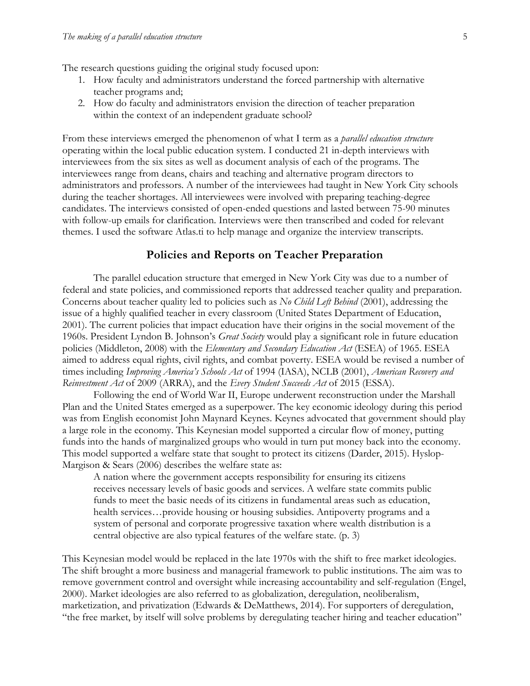The research questions guiding the original study focused upon:

- 1. How faculty and administrators understand the forced partnership with alternative teacher programs and;
- 2. How do faculty and administrators envision the direction of teacher preparation within the context of an independent graduate school?

From these interviews emerged the phenomenon of what I term as a *parallel education structure* operating within the local public education system. I conducted 21 in-depth interviews with interviewees from the six sites as well as document analysis of each of the programs. The interviewees range from deans, chairs and teaching and alternative program directors to administrators and professors. A number of the interviewees had taught in New York City schools during the teacher shortages. All interviewees were involved with preparing teaching-degree candidates. The interviews consisted of open-ended questions and lasted between 75-90 minutes with follow-up emails for clarification. Interviews were then transcribed and coded for relevant themes. I used the software Atlas.ti to help manage and organize the interview transcripts.

#### **Policies and Reports on Teacher Preparation**

The parallel education structure that emerged in New York City was due to a number of federal and state policies, and commissioned reports that addressed teacher quality and preparation. Concerns about teacher quality led to policies such as *No Child Left Behind* (2001), addressing the issue of a highly qualified teacher in every classroom [\(United States Department of Education,](#page-24-1)  [2001\)](#page-24-1). The current policies that impact education have their origins in the social movement of the 1960s. President Lyndon B. Johnson's *Great Society* would play a significant role in future education policies [\(Middleton, 2008\)](#page-22-2) with the *Elementary and Secondary Education Act* (ESEA) of 1965. ESEA aimed to address equal rights, civil rights, and combat poverty. ESEA would be revised a number of times including *Improving America's Schools Act* of 1994 (IASA), NCLB (2001), *American Recovery and Reinvestment Act* of 2009 (ARRA), and the *Every Student Succeeds Act* of 2015 (ESSA).

Following the end of World War II, Europe underwent reconstruction under the Marshall Plan and the United States emerged as a superpower. The key economic ideology during this period was from English economist John Maynard Keynes. Keynes advocated that government should play a large role in the economy. This Keynesian model supported a circular flow of money, putting funds into the hands of marginalized groups who would in turn put money back into the economy. This model supported a welfare state that sought to protect its citizens [\(Darder, 2015\)](#page-19-0). Hyslop-Margison & Sears [\(2006\)](#page-21-1) describes the welfare state as:

A nation where the government accepts responsibility for ensuring its citizens receives necessary levels of basic goods and services. A welfare state commits public funds to meet the basic needs of its citizens in fundamental areas such as education, health services…provide housing or housing subsidies. Antipoverty programs and a system of personal and corporate progressive taxation where wealth distribution is a central objective are also typical features of the welfare state. (p. 3)

This Keynesian model would be replaced in the late 1970s with the shift to free market ideologies. The shift brought a more business and managerial framework to public institutions. The aim was to remove government control and oversight while increasing accountability and self-regulation (Engel, 2000). Market ideologies are also referred to as globalization, deregulation, neoliberalism, marketization, and privatization [\(Edwards & DeMatthews, 2014\)](#page-20-2). For supporters of deregulation, "the free market, by itself will solve problems by deregulating teacher hiring and teacher education"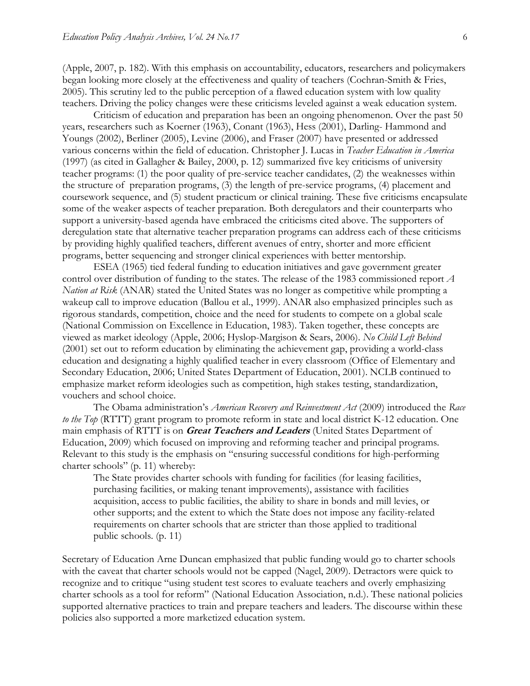[\(Apple, 2007, p. 182\)](#page-18-0). With this emphasis on accountability, educators, researchers and policymakers began looking more closely at the effectiveness and quality of teachers [\(Cochran-Smith & Fries,](#page-19-1)  [2005\)](#page-19-1). This scrutiny led to the public perception of a flawed education system with low quality teachers. Driving the policy changes were these criticisms leveled against a weak education system.

Criticism of education and preparation has been an ongoing phenomenon. Over the past 50 years, researchers such as Koerner [\(1963\)](#page-21-2), Conant [\(1963\)](#page-19-2), Hess [\(2001\)](#page-21-3), Darling- Hammond and Youngs [\(2002\)](#page-20-3), Berliner [\(2005\)](#page-19-3), Levine [\(2006\)](#page-21-4), and Fraser [\(2007\)](#page-20-4) have presented or addressed various concerns within the field of education. Christopher J. Lucas in *Teacher Education in America* [\(1997\)](#page-21-5) [\(as cited in Gallagher & Bailey, 2000, p. 12\)](#page-20-5) summarized five key criticisms of university teacher programs: (1) the poor quality of pre-service teacher candidates, (2) the weaknesses within the structure of preparation programs, (3) the length of pre-service programs, (4) placement and coursework sequence, and (5) student practicum or clinical training. These five criticisms encapsulate some of the weaker aspects of teacher preparation. Both deregulators and their counterparts who support a university-based agenda have embraced the criticisms cited above. The supporters of deregulation state that alternative teacher preparation programs can address each of these criticisms by providing highly qualified teachers, different avenues of entry, shorter and more efficient programs, better sequencing and stronger clinical experiences with better mentorship.

ESEA (1965) tied federal funding to education initiatives and gave government greater control over distribution of funding to the states. The release of the 1983 commissioned report *A Nation at Risk* (ANAR) stated the United States was no longer as competitive while prompting a wakeup call to improve education [\(Ballou et al., 1999\)](#page-18-1). ANAR also emphasized principles such as rigorous standards, competition, choice and the need for students to compete on a global scale [\(National Commission on Excellence in Education, 1983\)](#page-22-3). Taken together, these concepts are viewed as market ideology [\(Apple, 2006;](#page-18-2) [Hyslop-Margison & Sears, 2006\)](#page-21-1). *No Child Left Behind* (2001) set out to reform education by eliminating the achievement gap, providing a world-class education and designating a highly qualified teacher in every classroom [\(Office of Elementary and](#page-23-1)  [Secondary Education, 2006;](#page-23-1) [United States Department of Education, 2001\)](#page-24-1). NCLB continued to emphasize market reform ideologies such as competition, high stakes testing, standardization, vouchers and school choice.

The Obama administration's *American Recovery and Reinvestment Act* (2009) introduced the *Race to the Top* (RTTT) grant program to promote reform in state and local district K-12 education. One main emphasis of RTTT is on **Great Teachers and Leaders** [\(United States Department of](#page-24-2)  [Education, 2009\)](#page-24-2) which focused on improving and reforming teacher and principal programs. Relevant to this study is the emphasis on "ensuring successful conditions for high-performing charter schools" [\(p. 11\)](#page-24-2) whereby:

The State provides charter schools with funding for facilities (for leasing facilities, purchasing facilities, or making tenant improvements), assistance with facilities acquisition, access to public facilities, the ability to share in bonds and mill levies, or other supports; and the extent to which the State does not impose any facility-related requirements on charter schools that are stricter than those applied to traditional public schools. (p. 11)

Secretary of Education Arne Duncan emphasized that public funding would go to charter schools with the caveat that charter schools would not be capped [\(Nagel, 2009\)](#page-22-4). Detractors were quick to recognize and to critique "using student test scores to evaluate teachers and overly emphasizing charter schools as a tool for reform" (National Education Association, n.d.). These national policies supported alternative practices to train and prepare teachers and leaders. The discourse within these policies also supported a more marketized education system.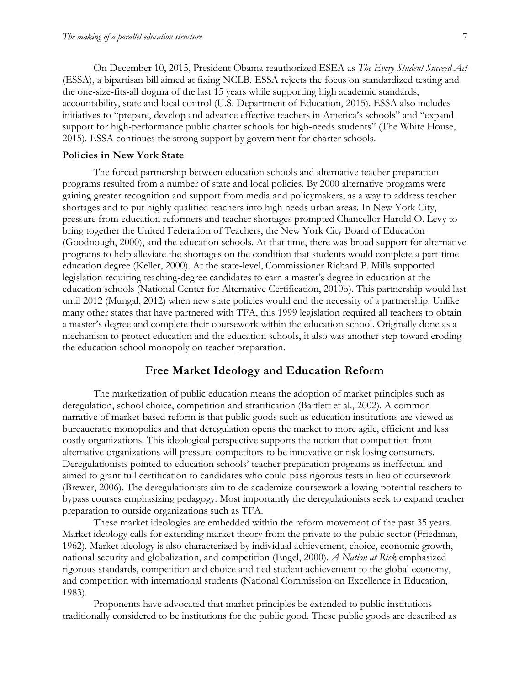On December 10, 2015, President Obama reauthorized ESEA as *The Every Student Succeed Act* (ESSA), a bipartisan bill aimed at fixing NCLB. ESSA rejects the focus on standardized testing and the one-size-fits-all dogma of the last 15 years while supporting high academic standards, accountability, state and local control [\(U.S. Department of Education, 2015\)](#page-24-3). ESSA also includes initiatives to "prepare, develop and advance effective teachers in America's schools" and "expand support for high-performance public charter schools for high-needs students" [\(The White House,](#page-24-4)  [2015\)](#page-24-4). ESSA continues the strong support by government for charter schools.

#### **Policies in New York State**

The forced partnership between education schools and alternative teacher preparation programs resulted from a number of state and local policies. By 2000 alternative programs were gaining greater recognition and support from media and policymakers, as a way to address teacher shortages and to put highly qualified teachers into high needs urban areas. In New York City, pressure from education reformers and teacher shortages prompted Chancellor Harold O. Levy to bring together the United Federation of Teachers, the New York City Board of Education [\(Goodnough, 2000\)](#page-20-6), and the education schools. At that time, there was broad support for alternative programs to help alleviate the shortages on the condition that students would complete a part-time education degree [\(Keller, 2000\)](#page-21-6). At the state-level, Commissioner Richard P. Mills supported legislation requiring teaching-degree candidates to earn a master's degree in education at the education schools [\(National Center for Alternative Certification, 2010b\)](#page-22-5). This partnership would last until 2012 (Mungal, 2012) when new state policies would end the necessity of a partnership. Unlike many other states that have partnered with TFA, this 1999 legislation required all teachers to obtain a master's degree and complete their coursework within the education school. Originally done as a mechanism to protect education and the education schools, it also was another step toward eroding the education school monopoly on teacher preparation.

# **Free Market Ideology and Education Reform**

The marketization of public education means the adoption of market principles such as deregulation, school choice, competition and stratification (Bartlett et al., 2002). A common narrative of market-based reform is that public goods such as education institutions are viewed as bureaucratic monopolies and that deregulation opens the market to more agile, efficient and less costly organizations. This ideological perspective supports the notion that competition from alternative organizations will pressure competitors to be innovative or risk losing consumers. Deregulationists pointed to education schools' teacher preparation programs as ineffectual and aimed to grant full certification to candidates who could pass rigorous tests in lieu of coursework [\(Brewer, 2006\)](#page-19-4). The deregulationists aim to de-academize coursework allowing potential teachers to bypass courses emphasizing pedagogy. Most importantly the deregulationists seek to expand teacher preparation to outside organizations such as TFA.

These market ideologies are embedded within the reform movement of the past 35 years. Market ideology calls for extending market theory from the private to the public sector [\(Friedman,](#page-20-7)  [1962\)](#page-20-7). Market ideology is also characterized by individual achievement, choice, economic growth, national security and globalization, and competition [\(Engel, 2000\)](#page-20-8). *A Nation at Risk* emphasized rigorous standards, competition and choice and tied student achievement to the global economy, and competition with international students [\(National Commission on Excellence in Education,](#page-22-3)  [1983\)](#page-22-3).

Proponents have advocated that market principles be extended to public institutions traditionally considered to be institutions for the public good. These public goods are described as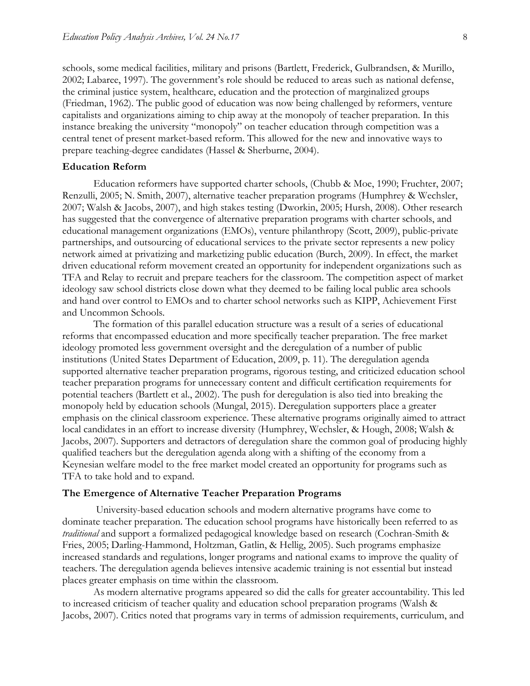schools, some medical facilities, military and prisons [\(Bartlett, Frederick, Gulbrandsen, & Murillo,](#page-18-3)  [2002;](#page-18-3) [Labaree, 1997\)](#page-21-7). The government's role should be reduced to areas such as national defense, the criminal justice system, healthcare, education and the protection of marginalized groups (Friedman, 1962). The public good of education was now being challenged by reformers, venture capitalists and organizations aiming to chip away at the monopoly of teacher preparation. In this instance breaking the university "monopoly" on teacher education through competition was a central tenet of present market-based reform. This allowed for the new and innovative ways to prepare teaching-degree candidates [\(Hassel & Sherburne, 2004\)](#page-20-9).

#### **Education Reform**

Education reformers have supported charter schools, [\(Chubb & Moe, 1990;](#page-19-5) [Fruchter, 2007;](#page-20-10) [Renzulli, 2005;](#page-23-2) [N. Smith, 2007\)](#page-23-3), alternative teacher preparation programs [\(Humphrey & Wechsler,](#page-21-8)  [2007;](#page-21-8) [Walsh & Jacobs, 2007\)](#page-24-5), and high stakes testing [\(Dworkin, 2005;](#page-20-11) [Hursh, 2008\)](#page-21-9). Other research has suggested that the convergence of alternative preparation programs with charter schools, and educational management organizations (EMOs), venture philanthropy [\(Scott, 2009\)](#page-23-4), public-private partnerships, and outsourcing of educational services to the private sector represents a new policy network aimed at privatizing and marketizing public education [\(Burch, 2009\)](#page-19-6). In effect, the market driven educational reform movement created an opportunity for independent organizations such as TFA and Relay to recruit and prepare teachers for the classroom. The competition aspect of market ideology saw school districts close down what they deemed to be failing local public area schools and hand over control to EMOs and to charter school networks such as KIPP, Achievement First and Uncommon Schools.

The formation of this parallel education structure was a result of a series of educational reforms that encompassed education and more specifically teacher preparation. The free market ideology promoted less government oversight and the deregulation of a number of public institutions [\(United States Department of Education, 2009, p. 11\)](#page-24-2). The deregulation agenda supported alternative teacher preparation programs, rigorous testing, and criticized education school teacher preparation programs for unnecessary content and difficult certification requirements for potential teachers [\(Bartlett et al., 2002\)](#page-18-3). The push for deregulation is also tied into breaking the monopoly held by education schools (Mungal, 2015). Deregulation supporters place a greater emphasis on the clinical classroom experience. These alternative programs originally aimed to attract local candidates in an effort to increase diversity [\(Humphrey, Wechsler, & Hough, 2008;](#page-21-10) [Walsh &](#page-24-5)  [Jacobs, 2007\)](#page-24-5). Supporters and detractors of deregulation share the common goal of producing highly qualified teachers but the deregulation agenda along with a shifting of the economy from a Keynesian welfare model to the free market model created an opportunity for programs such as TFA to take hold and to expand.

#### **The Emergence of Alternative Teacher Preparation Programs**

University-based education schools and modern alternative programs have come to dominate teacher preparation. The education school programs have historically been referred to as *traditional* and support a formalized pedagogical knowledge based on research [\(Cochran-Smith &](#page-19-1)  [Fries, 2005;](#page-19-1) [Darling-Hammond, Holtzman, Gatlin, & Hellig, 2005\)](#page-19-7). Such programs emphasize increased standards and regulations, longer programs and national exams to improve the quality of teachers. The deregulation agenda believes intensive academic training is not essential but instead places greater emphasis on time within the classroom.

As modern alternative programs appeared so did the calls for greater accountability. This led to increased criticism of teacher quality and education school preparation programs [\(Walsh &](#page-24-5)  [Jacobs, 2007\)](#page-24-5). Critics noted that programs vary in terms of admission requirements, curriculum, and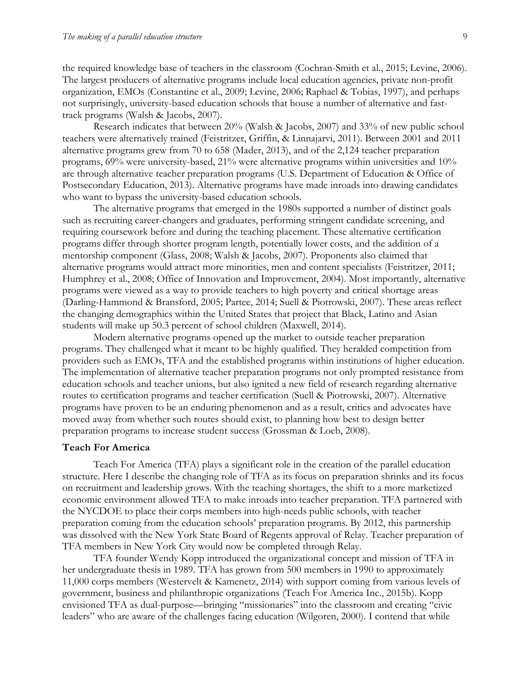the required knowledge base of teachers in the classroom [\(Cochran-Smith et al., 2015;](#page-19-8) [Levine, 2006\)](#page-21-4). The largest producers of alternative programs include local education agencies, private non-profit organization, EMOs [\(Constantine et al., 2009;](#page-19-9) [Levine, 2006;](#page-21-4) [Raphael & Tobias, 1997\)](#page-23-5), and perhaps not surprisingly, university-based education schools that house a number of alternative and fasttrack programs (Walsh & Jacobs, 2007).

Research indicates that between 20% (Walsh & Jacobs, 2007) and 33% of new public school teachers were alternatively trained [\(Feistritzer, Griffin, & Linnajarvi, 2011\)](#page-20-12). Between 2001 and 2011 alternative programs grew from 70 to 658 [\(Mader, 2013\)](#page-22-6), and of the 2,124 teacher preparation programs, 69% were university-based, 21% were alternative programs within universities and 10% are through alternative teacher preparation programs [\(U.S. Department of Education & Office of](#page-24-0)  [Postsecondary Education, 2013\)](#page-24-0). Alternative programs have made inroads into drawing candidates who want to bypass the university-based education schools.

The alternative programs that emerged in the 1980s supported a number of distinct goals such as recruiting career-changers and graduates, performing stringent candidate screening, and requiring coursework before and during the teaching placement. These alternative certification programs differ through shorter program length, potentially lower costs, and the addition of a mentorship component [\(Glass, 2008;](#page-20-13) [Walsh & Jacobs, 2007\)](#page-24-5). Proponents also claimed that alternative programs would attract more minorities, men and content specialists [\(Feistritzer, 2011;](#page-20-14) [Humphrey et al., 2008;](#page-21-10) [Office of Innovation and Improvement, 2004\)](#page-23-6). Most importantly, alternative programs were viewed as a way to provide teachers to high poverty and critical shortage areas [\(Darling-Hammond & Bransford, 2005;](#page-19-10) [Partee, 2014;](#page-23-7) [Suell & Piotrowski, 2007\)](#page-23-8). These areas reflect the changing demographics within the United States that project that Black, Latino and Asian students will make up 50.3 percent of school children [\(Maxwell, 2014\)](#page-22-7).

Modern alternative programs opened up the market to outside teacher preparation programs. They challenged what it meant to be highly qualified. They heralded competition from providers such as EMOs, TFA and the established programs within institutions of higher education. The implementation of alternative teacher preparation programs not only prompted resistance from education schools and teacher unions, but also ignited a new field of research regarding alternative routes to certification programs and teacher certification [\(Suell & Piotrowski, 2007\)](#page-23-8). Alternative programs have proven to be an enduring phenomenon and as a result, critics and advocates have moved away from whether such routes should exist, to planning how best to design better preparation programs to increase student success [\(Grossman & Loeb, 2008\)](#page-20-1).

#### **Teach For America**

Teach For America (TFA) plays a significant role in the creation of the parallel education structure. Here I describe the changing role of TFA as its focus on preparation shrinks and its focus on recruitment and leadership grows. With the teaching shortages, the shift to a more marketized economic environment allowed TFA to make inroads into teacher preparation. TFA partnered with the NYCDOE to place their corps members into high-needs public schools, with teacher preparation coming from the education schools' preparation programs. By 2012, this partnership was dissolved with the New York State Board of Regents approval of Relay. Teacher preparation of TFA members in New York City would now be completed through Relay.

TFA founder Wendy Kopp introduced the organizational concept and mission of TFA in her undergraduate thesis in 1989. TFA has grown from 500 members in 1990 to approximately 11,000 corps members [\(Westervelt & Kamenetz, 2014\)](#page-24-6) with support coming from various levels of government, business and philanthropic organizations [\(Teach For America Inc., 2015b\)](#page-24-7). Kopp envisioned TFA as dual-purpose—bringing "missionaries" into the classroom and creating "civic leaders" who are aware of the challenges facing education (Wilgoren, 2000). I contend that while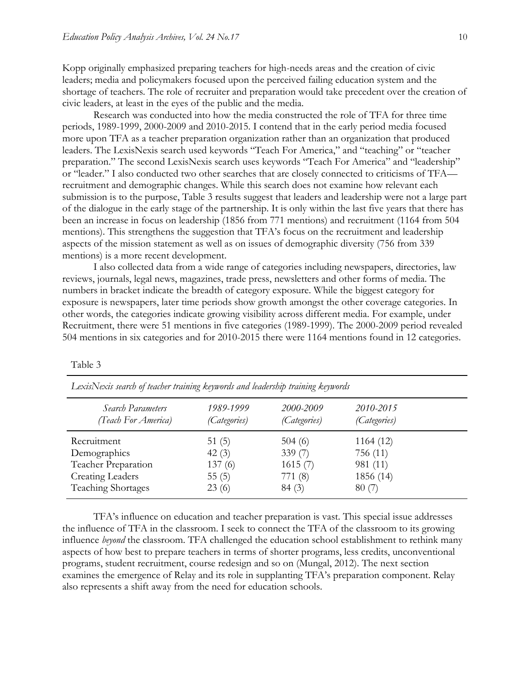Kopp originally emphasized preparing teachers for high-needs areas and the creation of civic leaders; media and policymakers focused upon the perceived failing education system and the shortage of teachers. The role of recruiter and preparation would take precedent over the creation of civic leaders, at least in the eyes of the public and the media.

Research was conducted into how the media constructed the role of TFA for three time periods, 1989-1999, 2000-2009 and 2010-2015. I contend that in the early period media focused more upon TFA as a teacher preparation organization rather than an organization that produced leaders. The LexisNexis search used keywords "Teach For America," and "teaching" or "teacher preparation." The second LexisNexis search uses keywords "Teach For America" and "leadership" or "leader." I also conducted two other searches that are closely connected to criticisms of TFA recruitment and demographic changes. While this search does not examine how relevant each submission is to the purpose, Table 3 results suggest that leaders and leadership were not a large part of the dialogue in the early stage of the partnership. It is only within the last five years that there has been an increase in focus on leadership (1856 from 771 mentions) and recruitment (1164 from 504 mentions). This strengthens the suggestion that TFA's focus on the recruitment and leadership aspects of the mission statement as well as on issues of demographic diversity (756 from 339 mentions) is a more recent development.

I also collected data from a wide range of categories including newspapers, directories, law reviews, journals, legal news, magazines, trade press, newsletters and other forms of media. The numbers in bracket indicate the breadth of category exposure. While the biggest category for exposure is newspapers, later time periods show growth amongst the other coverage categories. In other words, the categories indicate growing visibility across different media. For example, under Recruitment, there were 51 mentions in five categories (1989-1999). The 2000-2009 period revealed 504 mentions in six categories and for 2010-2015 there were 1164 mentions found in 12 categories.

| Lexist vexis search of teather training $\kappa\varepsilon$ fibority and teatership training $\kappa\varepsilon$ fibority |                           |                                  |                                  |  |
|---------------------------------------------------------------------------------------------------------------------------|---------------------------|----------------------------------|----------------------------------|--|
| <i>Search Parameters</i><br>(Teach For America)                                                                           | 1989-1999<br>(Categories) | 2000-2009<br><i>(Categories)</i> | 2010-2015<br><i>(Categories)</i> |  |
| Recruitment                                                                                                               | 51 $(5)$                  | 504(6)                           | 1164(12)                         |  |
| Demographics                                                                                                              | 42(3)                     | 339(7)                           | 756 (11)                         |  |
| Teacher Preparation                                                                                                       | 137(6)                    | 1615(7)                          | 981 (11)                         |  |
| <b>Creating Leaders</b>                                                                                                   | 55(5)                     | 771 $(8)$                        | 1856 (14)                        |  |
| <b>Teaching Shortages</b>                                                                                                 | 23(6)                     | 84(3)                            | 80(7)                            |  |

Table 3

*LexisNexis search of teacher training keywords and leadership training keywords*

TFA's influence on education and teacher preparation is vast. This special issue addresses the influence of TFA in the classroom. I seek to connect the TFA of the classroom to its growing influence *beyond* the classroom. TFA challenged the education school establishment to rethink many aspects of how best to prepare teachers in terms of shorter programs, less credits, unconventional programs, student recruitment, course redesign and so on (Mungal, 2012). The next section examines the emergence of Relay and its role in supplanting TFA's preparation component. Relay also represents a shift away from the need for education schools.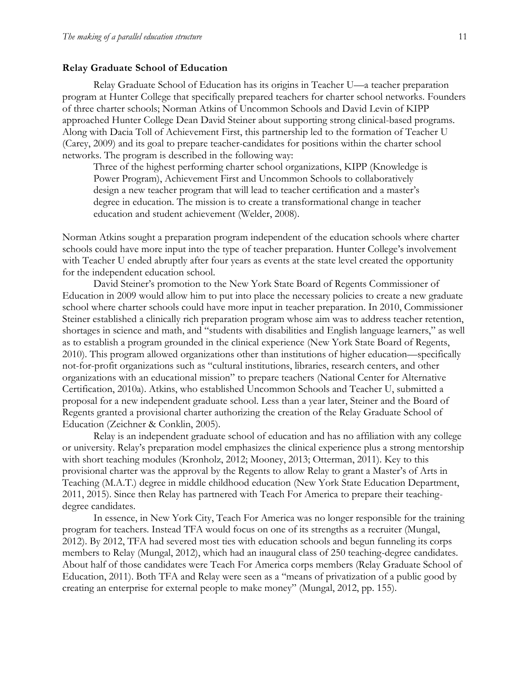#### **Relay Graduate School of Education**

Relay Graduate School of Education has its origins in Teacher U—a teacher preparation program at Hunter College that specifically prepared teachers for charter school networks. Founders of three charter schools; Norman Atkins of Uncommon Schools and David Levin of KIPP approached Hunter College Dean David Steiner about supporting strong clinical-based programs. Along with Dacia Toll of Achievement First, this partnership led to the formation of Teacher U [\(Carey, 2009\)](#page-19-11) and its goal to prepare teacher-candidates for positions within the charter school networks. The program is described in the following way:

Three of the highest performing charter school organizations, KIPP (Knowledge is Power Program), Achievement First and Uncommon Schools to collaboratively design a new teacher program that will lead to teacher certification and a master's degree in education. The mission is to create a transformational change in teacher education and student achievement (Welder, 2008).

Norman Atkins sought a preparation program independent of the education schools where charter schools could have more input into the type of teacher preparation. Hunter College's involvement with Teacher U ended abruptly after four years as events at the state level created the opportunity for the independent education school.

David Steiner's promotion to the New York State Board of Regents Commissioner of Education in 2009 would allow him to put into place the necessary policies to create a new graduate school where charter schools could have more input in teacher preparation. In 2010, Commissioner Steiner established a clinically rich preparation program whose aim was to address teacher retention, shortages in science and math, and "students with disabilities and English language learners," as well as to establish a program grounded in the clinical experience [\(New York State Board of Regents,](#page-22-8)  [2010\)](#page-22-8). This program allowed organizations other than institutions of higher education—specifically not-for-profit organizations such as "cultural institutions, libraries, research centers, and other organizations with an educational mission" to prepare teachers [\(National Center for Alternative](#page-22-9)  [Certification, 2010a\)](#page-22-9). Atkins, who established Uncommon Schools and Teacher U, submitted a proposal for a new independent graduate school. Less than a year later, Steiner and the Board of Regents granted a provisional charter authorizing the creation of the Relay Graduate School of Education [\(Zeichner & Conklin, 2005\)](#page-24-8).

Relay is an independent graduate school of education and has no affiliation with any college or university. Relay's preparation model emphasizes the clinical experience plus a strong mentorship with short teaching modules [\(Kronholz, 2012;](#page-21-11) [Mooney, 2013;](#page-22-10) [Otterman, 2011\)](#page-23-9). Key to this provisional charter was the approval by the Regents to allow Relay to grant a Master's of Arts in Teaching (M.A.T.) degree in middle childhood education [\(New York State Education Department,](#page-22-11)  [2011,](#page-22-11) [2015\)](#page-22-12). Since then Relay has partnered with Teach For America to prepare their teachingdegree candidates.

In essence, in New York City, Teach For America was no longer responsible for the training program for teachers. Instead TFA would focus on one of its strengths as a recruiter (Mungal, 2012). By 2012, TFA had severed most ties with education schools and begun funneling its corps members to Relay (Mungal, 2012), which had an inaugural class of 250 teaching-degree candidates. About half of those candidates were Teach For America corps members [\(Relay Graduate School of](#page-23-10)  [Education, 2011\)](#page-23-10). Both TFA and Relay were seen as a "means of privatization of a public good by creating an enterprise for external people to make money" (Mungal, 2012, pp. 155).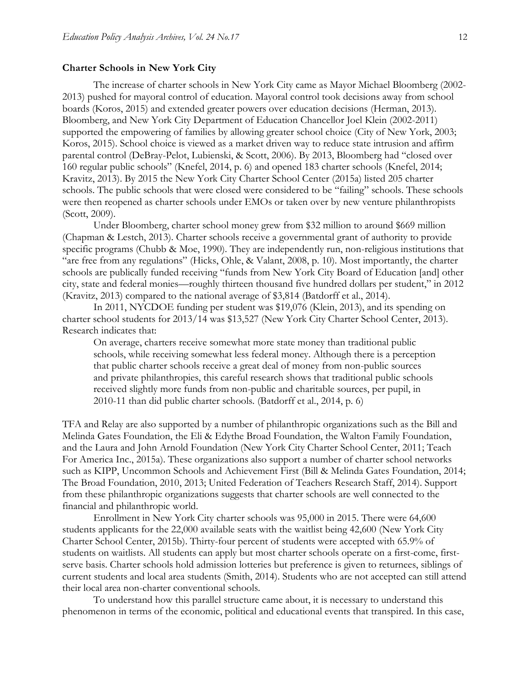#### **Charter Schools in New York City**

The increase of charter schools in New York City came as Mayor Michael Bloomberg (2002- 2013) pushed for mayoral control of education. Mayoral control took decisions away from school boards [\(Koros, 2015\)](#page-21-12) and extended greater powers over education decisions [\(Herman, 2013\)](#page-21-13). Bloomberg, and New York City Department of Education Chancellor Joel Klein (2002-2011) supported the empowering of families by allowing greater school choice [\(City of New York, 2003;](#page-19-12) [Koros, 2015\)](#page-21-12). School choice is viewed as a market driven way to reduce state intrusion and affirm parental control [\(DeBray-Pelot, Lubienski, & Scott, 2006\)](#page-20-15). By 2013, Bloomberg had "closed over 160 regular public schools" [\(Knefel, 2014, p. 6\)](#page-21-14) and opened 183 charter schools [\(Knefel, 2014;](#page-21-14) [Kravitz, 2013\)](#page-21-15). By 2015 the New York City Charter School Center [\(2015a\)](#page-22-13) listed 205 charter schools. The public schools that were closed were considered to be "failing" schools. These schools were then reopened as charter schools under EMOs or taken over by new venture philanthropists [\(Scott, 2009\)](#page-23-4).

Under Bloomberg, charter school money grew from \$32 million to around \$669 million [\(Chapman & Lestch, 2013\)](#page-19-13). Charter schools receive a governmental grant of authority to provide specific programs (Chubb & Moe, 1990). They are independently run, non-religious institutions that "are free from any regulations" [\(Hicks, Ohle, & Valant, 2008, p. 10\)](#page-21-16). Most importantly, the charter schools are publically funded receiving "funds from New York City Board of Education [and] other city, state and federal monies—roughly thirteen thousand five hundred dollars per student," in 2012 [\(Kravitz, 2013\)](#page-21-15) compared to the national average of \$3,814 [\(Batdorff et al., 2014\)](#page-18-4).

In 2011, NYCDOE funding per student was \$19,076 [\(Klein, 2013\)](#page-21-17), and its spending on charter school students for 2013/14 was \$13,527 [\(New York City Charter School Center, 2013\)](#page-22-14). Research indicates that:

On average, charters receive somewhat more state money than traditional public schools, while receiving somewhat less federal money. Although there is a perception that public charter schools receive a great deal of money from non-public sources and private philanthropies, this careful research shows that traditional public schools received slightly more funds from non-public and charitable sources, per pupil, in 2010-11 than did public charter schools. [\(Batdorff et al., 2014, p. 6\)](#page-18-4)

TFA and Relay are also supported by a number of philanthropic organizations such as the Bill and Melinda Gates Foundation, the Eli & Edythe Broad Foundation, the Walton Family Foundation, and the Laura and John Arnold Foundation [\(New York City Charter School Center, 2011;](#page-22-15) [Teach](#page-24-9)  [For America Inc., 2015a\)](#page-24-9). These organizations also support a number of charter school networks such as KIPP, Uncommon Schools and Achievement First [\(Bill & Melinda Gates Foundation, 2014;](#page-19-14) [The Broad Foundation, 2010,](#page-24-10) [2013;](#page-24-11) [United Federation of Teachers Research Staff, 2014\)](#page-24-12). Support from these philanthropic organizations suggests that charter schools are well connected to the financial and philanthropic world.

Enrollment in New York City charter schools was 95,000 in 2015. There were 64,600 students applicants for the 22,000 available seats with the waitlist being 42,600 [\(New York City](#page-22-16)  [Charter School Center, 2015b\)](#page-22-16). Thirty-four percent of students were accepted with 65.9% of students on waitlists. All students can apply but most charter schools operate on a first-come, firstserve basis. Charter schools hold admission lotteries but preference is given to returnees, siblings of current students and local area students (Smith, 2014). Students who are not accepted can still attend their local area non-charter conventional schools.

To understand how this parallel structure came about, it is necessary to understand this phenomenon in terms of the economic, political and educational events that transpired. In this case,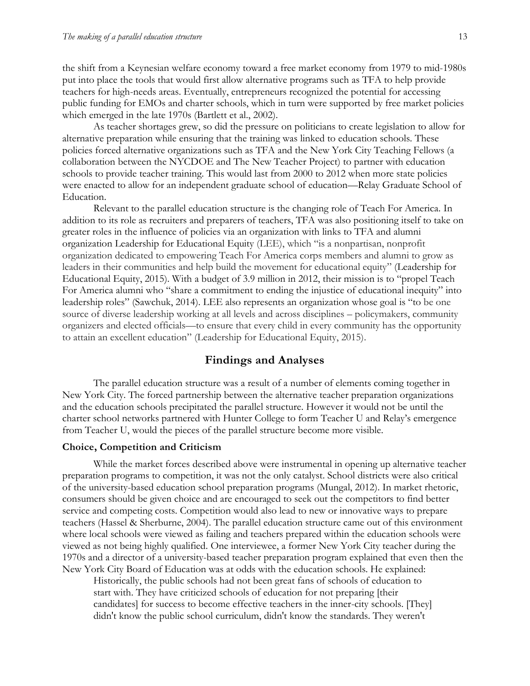the shift from a Keynesian welfare economy toward a free market economy from 1979 to mid-1980s put into place the tools that would first allow alternative programs such as TFA to help provide teachers for high-needs areas. Eventually, entrepreneurs recognized the potential for accessing public funding for EMOs and charter schools, which in turn were supported by free market policies which emerged in the late 1970s [\(Bartlett et al., 2002\)](#page-18-3).

As teacher shortages grew, so did the pressure on politicians to create legislation to allow for alternative preparation while ensuring that the training was linked to education schools. These policies forced alternative organizations such as TFA and the New York City Teaching Fellows (a collaboration between the NYCDOE and The New Teacher Project) to partner with education schools to provide teacher training. This would last from 2000 to 2012 when more state policies were enacted to allow for an independent graduate school of education—Relay Graduate School of Education.

Relevant to the parallel education structure is the changing role of Teach For America. In addition to its role as recruiters and preparers of teachers, TFA was also positioning itself to take on greater roles in the influence of policies via an organization with links to TFA and alumni organization Leadership for Educational Equity (LEE), which "is a nonpartisan, nonprofit organization dedicated to empowering Teach For America corps members and alumni to grow as leaders in their communities and help build the movement for educational equity" [\(Leadership for](#page-21-18)  [Educational Equity, 2015\)](#page-21-18). With a budget of 3.9 million in 2012, their mission is to "propel Teach For America alumni who "share a commitment to ending the injustice of educational inequity" into leadership roles" [\(Sawchuk, 2014\)](#page-23-11). LEE also represents an organization whose goal is "to be one source of diverse leadership working at all levels and across disciplines – policymakers, community organizers and elected officials—to ensure that every child in every community has the opportunity to attain an excellent education" (Leadership for Educational Equity, 2015).

#### **Findings and Analyses**

The parallel education structure was a result of a number of elements coming together in New York City. The forced partnership between the alternative teacher preparation organizations and the education schools precipitated the parallel structure. However it would not be until the charter school networks partnered with Hunter College to form Teacher U and Relay's emergence from Teacher U, would the pieces of the parallel structure become more visible.

#### **Choice, Competition and Criticism**

While the market forces described above were instrumental in opening up alternative teacher preparation programs to competition, it was not the only catalyst. School districts were also critical of the university-based education school preparation programs (Mungal, 2012). In market rhetoric, consumers should be given choice and are encouraged to seek out the competitors to find better service and competing costs. Competition would also lead to new or innovative ways to prepare teachers (Hassel & Sherburne, 2004). The parallel education structure came out of this environment where local schools were viewed as failing and teachers prepared within the education schools were viewed as not being highly qualified. One interviewee, a former New York City teacher during the 1970s and a director of a university-based teacher preparation program explained that even then the New York City Board of Education was at odds with the education schools. He explained:

Historically, the public schools had not been great fans of schools of education to start with. They have criticized schools of education for not preparing [their candidates] for success to become effective teachers in the inner-city schools. [They] didn't know the public school curriculum, didn't know the standards. They weren't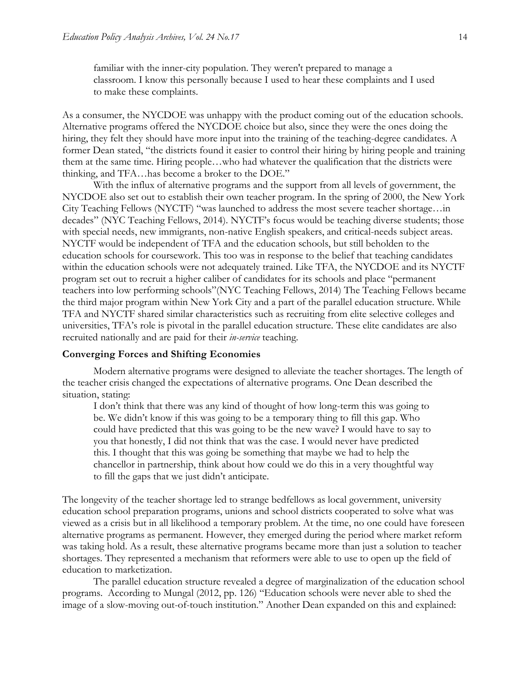familiar with the inner-city population. They weren't prepared to manage a classroom. I know this personally because I used to hear these complaints and I used to make these complaints.

As a consumer, the NYCDOE was unhappy with the product coming out of the education schools. Alternative programs offered the NYCDOE choice but also, since they were the ones doing the hiring, they felt they should have more input into the training of the teaching-degree candidates. A former Dean stated, "the districts found it easier to control their hiring by hiring people and training them at the same time. Hiring people…who had whatever the qualification that the districts were thinking, and TFA…has become a broker to the DOE."

With the influx of alternative programs and the support from all levels of government, the NYCDOE also set out to establish their own teacher program. In the spring of 2000, the New York City Teaching Fellows (NYCTF) "was launched to address the most severe teacher shortage…in decades" [\(NYC Teaching Fellows, 2014\)](#page-23-12). NYCTF's focus would be teaching diverse students; those with special needs, new immigrants, non-native English speakers, and critical-needs subject areas. NYCTF would be independent of TFA and the education schools, but still beholden to the education schools for coursework. This too was in response to the belief that teaching candidates within the education schools were not adequately trained. Like TFA, the NYCDOE and its NYCTF program set out to recruit a higher caliber of candidates for its schools and place "permanent teachers into low performing schools"[\(NYC Teaching Fellows, 2014\)](#page-23-12) The Teaching Fellows became the third major program within New York City and a part of the parallel education structure. While TFA and NYCTF shared similar characteristics such as recruiting from elite selective colleges and universities, TFA's role is pivotal in the parallel education structure. These elite candidates are also recruited nationally and are paid for their *in-service* teaching.

#### **Converging Forces and Shifting Economies**

Modern alternative programs were designed to alleviate the teacher shortages. The length of the teacher crisis changed the expectations of alternative programs. One Dean described the situation, stating:

I don't think that there was any kind of thought of how long-term this was going to be. We didn't know if this was going to be a temporary thing to fill this gap. Who could have predicted that this was going to be the new wave? I would have to say to you that honestly, I did not think that was the case. I would never have predicted this. I thought that this was going be something that maybe we had to help the chancellor in partnership, think about how could we do this in a very thoughtful way to fill the gaps that we just didn't anticipate.

The longevity of the teacher shortage led to strange bedfellows as local government, university education school preparation programs, unions and school districts cooperated to solve what was viewed as a crisis but in all likelihood a temporary problem. At the time, no one could have foreseen alternative programs as permanent. However, they emerged during the period where market reform was taking hold. As a result, these alternative programs became more than just a solution to teacher shortages. They represented a mechanism that reformers were able to use to open up the field of education to marketization.

The parallel education structure revealed a degree of marginalization of the education school programs. According to Mungal (2012, pp. 126) "Education schools were never able to shed the image of a slow-moving out-of-touch institution." Another Dean expanded on this and explained: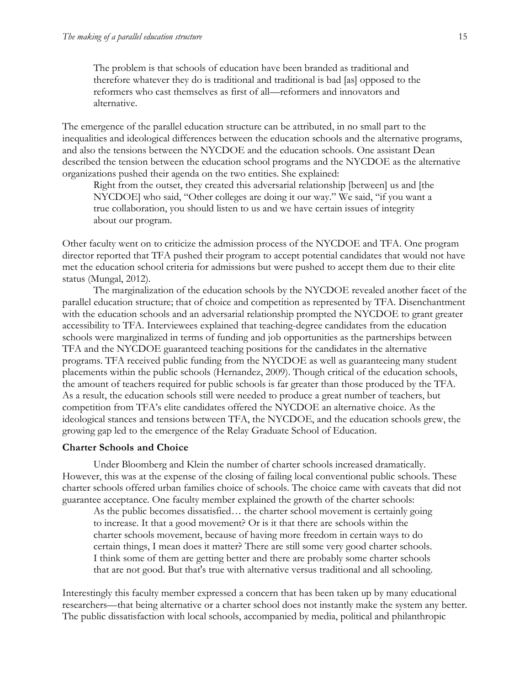The problem is that schools of education have been branded as traditional and therefore whatever they do is traditional and traditional is bad [as] opposed to the reformers who cast themselves as first of all—reformers and innovators and alternative.

The emergence of the parallel education structure can be attributed, in no small part to the inequalities and ideological differences between the education schools and the alternative programs, and also the tensions between the NYCDOE and the education schools. One assistant Dean described the tension between the education school programs and the NYCDOE as the alternative organizations pushed their agenda on the two entities. She explained:

Right from the outset, they created this adversarial relationship [between] us and [the NYCDOE] who said, "Other colleges are doing it our way." We said, "if you want a true collaboration, you should listen to us and we have certain issues of integrity about our program.

Other faculty went on to criticize the admission process of the NYCDOE and TFA. One program director reported that TFA pushed their program to accept potential candidates that would not have met the education school criteria for admissions but were pushed to accept them due to their elite status (Mungal, 2012).

The marginalization of the education schools by the NYCDOE revealed another facet of the parallel education structure; that of choice and competition as represented by TFA. Disenchantment with the education schools and an adversarial relationship prompted the NYCDOE to grant greater accessibility to TFA. Interviewees explained that teaching-degree candidates from the education schools were marginalized in terms of funding and job opportunities as the partnerships between TFA and the NYCDOE guaranteed teaching positions for the candidates in the alternative programs. TFA received public funding from the NYCDOE as well as guaranteeing many student placements within the public schools [\(Hernandez, 2009\)](#page-21-19). Though critical of the education schools, the amount of teachers required for public schools is far greater than those produced by the TFA. As a result, the education schools still were needed to produce a great number of teachers, but competition from TFA's elite candidates offered the NYCDOE an alternative choice. As the ideological stances and tensions between TFA, the NYCDOE, and the education schools grew, the growing gap led to the emergence of the Relay Graduate School of Education.

#### **Charter Schools and Choice**

Under Bloomberg and Klein the number of charter schools increased dramatically. However, this was at the expense of the closing of failing local conventional public schools. These charter schools offered urban families choice of schools. The choice came with caveats that did not guarantee acceptance. One faculty member explained the growth of the charter schools:

As the public becomes dissatisfied… the charter school movement is certainly going to increase. It that a good movement? Or is it that there are schools within the charter schools movement, because of having more freedom in certain ways to do certain things, I mean does it matter? There are still some very good charter schools. I think some of them are getting better and there are probably some charter schools that are not good. But that's true with alternative versus traditional and all schooling.

Interestingly this faculty member expressed a concern that has been taken up by many educational researchers—that being alternative or a charter school does not instantly make the system any better. The public dissatisfaction with local schools, accompanied by media, political and philanthropic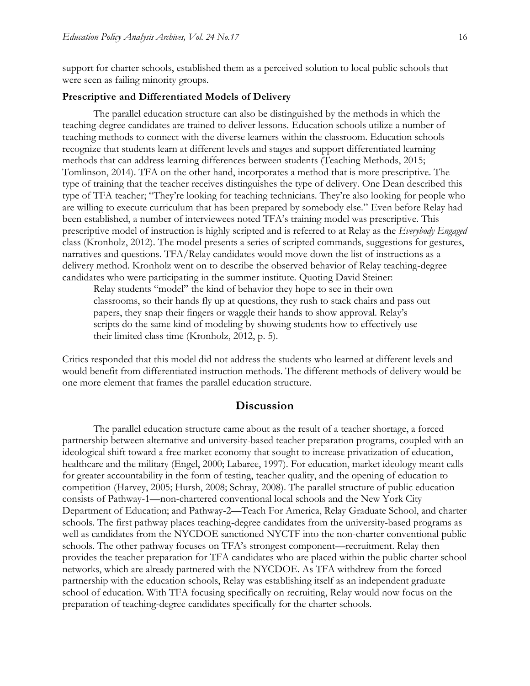support for charter schools, established them as a perceived solution to local public schools that were seen as failing minority groups.

#### **Prescriptive and Differentiated Models of Delivery**

The parallel education structure can also be distinguished by the methods in which the teaching-degree candidates are trained to deliver lessons. Education schools utilize a number of teaching methods to connect with the diverse learners within the classroom. Education schools recognize that students learn at different levels and stages and support differentiated learning methods that can address learning differences between students [\(Teaching Methods, 2015;](#page-24-13) [Tomlinson, 2014\)](#page-24-14). TFA on the other hand, incorporates a method that is more prescriptive. The type of training that the teacher receives distinguishes the type of delivery. One Dean described this type of TFA teacher; "They're looking for teaching technicians. They're also looking for people who are willing to execute curriculum that has been prepared by somebody else." Even before Relay had been established, a number of interviewees noted TFA's training model was prescriptive. This prescriptive model of instruction is highly scripted and is referred to at Relay as the *Everybody Engaged* class [\(Kronholz, 2012\)](#page-21-11). The model presents a series of scripted commands, suggestions for gestures, narratives and questions. TFA/Relay candidates would move down the list of instructions as a delivery method. Kronholz went on to describe the observed behavior of Relay teaching-degree candidates who were participating in the summer institute. Quoting David Steiner:

Relay students "model" the kind of behavior they hope to see in their own classrooms, so their hands fly up at questions, they rush to stack chairs and pass out papers, they snap their fingers or waggle their hands to show approval. Relay's scripts do the same kind of modeling by showing students how to effectively use their limited class time (Kronholz, 2012, p. 5).

Critics responded that this model did not address the students who learned at different levels and would benefit from differentiated instruction methods. The different methods of delivery would be one more element that frames the parallel education structure.

### **Discussion**

The parallel education structure came about as the result of a teacher shortage, a forced partnership between alternative and university-based teacher preparation programs, coupled with an ideological shift toward a free market economy that sought to increase privatization of education, healthcare and the military (Engel, 2000; Labaree, 1997). For education, market ideology meant calls for greater accountability in the form of testing, teacher quality, and the opening of education to competition [\(Harvey, 2005;](#page-20-16) [Hursh, 2008;](#page-21-9) [Schray, 2008\)](#page-23-13). The parallel structure of public education consists of Pathway-1—non-chartered conventional local schools and the New York City Department of Education; and Pathway-2—Teach For America, Relay Graduate School, and charter schools. The first pathway places teaching-degree candidates from the university-based programs as well as candidates from the NYCDOE sanctioned NYCTF into the non-charter conventional public schools. The other pathway focuses on TFA's strongest component—recruitment. Relay then provides the teacher preparation for TFA candidates who are placed within the public charter school networks, which are already partnered with the NYCDOE. As TFA withdrew from the forced partnership with the education schools, Relay was establishing itself as an independent graduate school of education. With TFA focusing specifically on recruiting, Relay would now focus on the preparation of teaching-degree candidates specifically for the charter schools.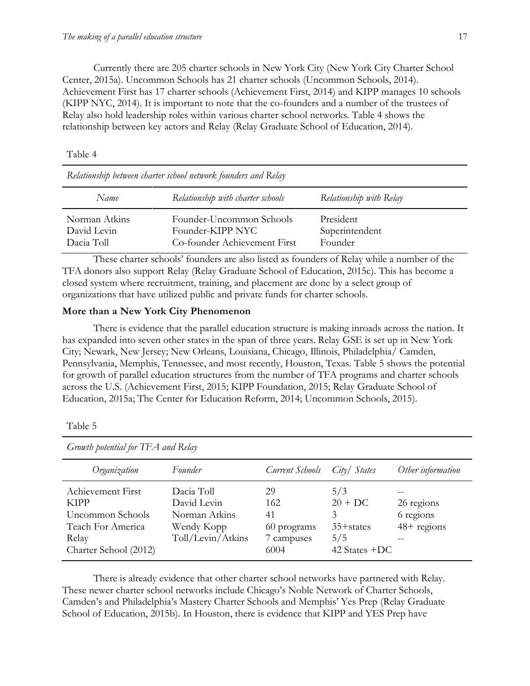Currently there are 205 charter schools in New York City [\(New York City Charter School](#page-22-13)  [Center, 2015a\)](#page-22-13). Uncommon Schools has 21 charter schools [\(Uncommon Schools, 2014\)](#page-24-15). Achievement First has 17 charter schools [\(Achievement First, 2014\)](#page-18-5) and KIPP manages 10 schools [\(KIPP NYC, 2014\)](#page-21-20). It is important to note that the co-founders and a number of the trustees of Relay also hold leadership roles within various charter school networks. Table 4 shows the relationship between key actors and Relay [\(Relay Graduate School of Education, 2014\)](#page-23-14).

Table 4

| Relationship between charter school network founders and Relay |                                                                              |                                        |  |
|----------------------------------------------------------------|------------------------------------------------------------------------------|----------------------------------------|--|
| Name                                                           | Relationship with charter schools                                            | Relationship with Relay                |  |
| Norman Atkins<br>David Levin<br>Dacia Toll                     | Founder-Uncommon Schools<br>Founder-KIPP NYC<br>Co-founder Achievement First | President<br>Superintendent<br>Founder |  |

These charter schools' founders are also listed as founders of Relay while a number of the TFA donors also support Relay [\(Relay Graduate School of Education, 2015c\)](#page-23-15). This has become a closed system where recruitment, training, and placement are done by a select group of organizations that have utilized public and private funds for charter schools.

#### **More than a New York City Phenomenon**

There is evidence that the parallel education structure is making inroads across the nation. It has expanded into seven other states in the span of three years. Relay GSE is set up in New York City; Newark, New Jersey; New Orleans, Louisiana, Chicago, Illinois, Philadelphia/ Camden, Pennsylvania, Memphis, Tennessee, and most recently, Houston, Texas. Table 5 shows the potential for growth of parallel education structures from the number of TFA programs and charter schools across the U.S. [\(Achievement First, 2015;](#page-18-6) [KIPP Foundation, 2015;](#page-21-21) [Relay Graduate School of](#page-23-16)  [Education, 2015a;](#page-23-16) [The Center for Education Reform, 2014;](#page-24-16) [Uncommon Schools, 2015\)](#page-24-17).

| Growth potential for TFA and Relay                                                                          |                                                                               |                                                      |                                                                  |                                           |  |
|-------------------------------------------------------------------------------------------------------------|-------------------------------------------------------------------------------|------------------------------------------------------|------------------------------------------------------------------|-------------------------------------------|--|
| Organization                                                                                                | Founder                                                                       | Current Schools                                      | City/ States                                                     | Other information                         |  |
| Achievement First<br><b>KIPP</b><br>Uncommon Schools<br>Teach For America<br>Relay<br>Charter School (2012) | Dacia Toll<br>David Levin<br>Norman Atkins<br>Wendy Kopp<br>Toll/Levin/Atkins | 29<br>162<br>41<br>60 programs<br>7 campuses<br>6004 | 5/3<br>$20 + DC$<br>3<br>$35 +$ states<br>5/5<br>42 States $+DC$ | 26 regions<br>6 regions<br>$48 +$ regions |  |

Table 5

There is already evidence that other charter school networks have partnered with Relay. These newer charter school networks include Chicago's Noble Network of Charter Schools, Camden's and Philadelphia's Mastery Charter Schools and Memphis' Yes Prep [\(Relay Graduate](#page-23-17)  [School of Education, 2015b\)](#page-23-17). In Houston, there is evidence that KIPP and YES Prep have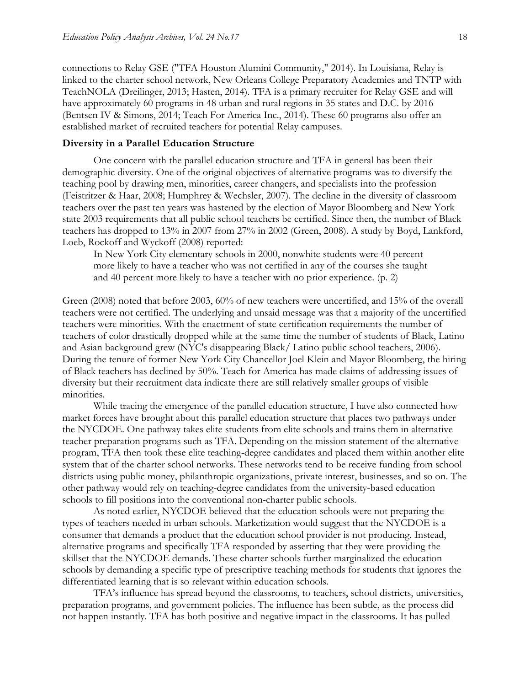connections to Relay GSE [\("TFA Houston Alumini Community," 2014\)](#page-24-18). In Louisiana, Relay is linked to the charter school network, New Orleans College Preparatory Academies and TNTP with TeachNOLA [\(Dreilinger, 2013;](#page-20-17) [Hasten, 2014\)](#page-20-18). TFA is a primary recruiter for Relay GSE and will have approximately 60 programs in 48 urban and rural regions in 35 states and D.C. by 2016 [\(Bentsen IV & Simons, 2014;](#page-19-15) [Teach For America Inc., 2014\)](#page-23-18). These 60 programs also offer an established market of recruited teachers for potential Relay campuses.

#### **Diversity in a Parallel Education Structure**

One concern with the parallel education structure and TFA in general has been their demographic diversity. One of the original objectives of alternative programs was to diversify the teaching pool by drawing men, minorities, career changers, and specialists into the profession [\(Feistritzer & Haar, 2008;](#page-20-19) [Humphrey & Wechsler, 2007\)](#page-21-8). The decline in the diversity of classroom teachers over the past ten years was hastened by the election of Mayor Bloomberg and New York state 2003 requirements that all public school teachers be certified. Since then, the number of Black teachers has dropped to 13% in 2007 from 27% in 2002 [\(Green, 2008\)](#page-20-20). A study by Boyd, Lankford, Loeb, Rockoff and Wyckoff [\(2008\)](#page-19-16) reported:

In New York City elementary schools in 2000, nonwhite students were 40 percent more likely to have a teacher who was not certified in any of the courses she taught and 40 percent more likely to have a teacher with no prior experience. [\(p. 2\)](#page-19-16)

Green (2008) noted that before 2003, 60% of new teachers were uncertified, and 15% of the overall teachers were not certified. The underlying and unsaid message was that a majority of the uncertified teachers were minorities. With the enactment of state certification requirements the number of teachers of color drastically dropped while at the same time the number of students of Black, Latino and Asian background grew [\(NYC's disappearing Black/ Latino public school teachers, 2006\)](#page-23-19). During the tenure of former New York City Chancellor Joel Klein and Mayor Bloomberg, the hiring of Black teachers has declined by 50%. Teach for America has made claims of addressing issues of diversity but their recruitment data indicate there are still relatively smaller groups of visible minorities.

While tracing the emergence of the parallel education structure, I have also connected how market forces have brought about this parallel education structure that places two pathways under the NYCDOE. One pathway takes elite students from elite schools and trains them in alternative teacher preparation programs such as TFA. Depending on the mission statement of the alternative program, TFA then took these elite teaching-degree candidates and placed them within another elite system that of the charter school networks. These networks tend to be receive funding from school districts using public money, philanthropic organizations, private interest, businesses, and so on. The other pathway would rely on teaching-degree candidates from the university-based education schools to fill positions into the conventional non-charter public schools.

As noted earlier, NYCDOE believed that the education schools were not preparing the types of teachers needed in urban schools. Marketization would suggest that the NYCDOE is a consumer that demands a product that the education school provider is not producing. Instead, alternative programs and specifically TFA responded by asserting that they were providing the skillset that the NYCDOE demands. These charter schools further marginalized the education schools by demanding a specific type of prescriptive teaching methods for students that ignores the differentiated learning that is so relevant within education schools.

TFA's influence has spread beyond the classrooms, to teachers, school districts, universities, preparation programs, and government policies. The influence has been subtle, as the process did not happen instantly. TFA has both positive and negative impact in the classrooms. It has pulled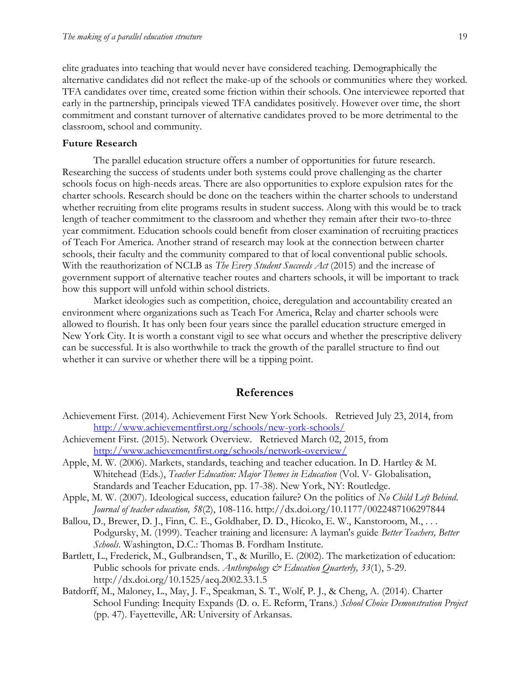elite graduates into teaching that would never have considered teaching. Demographically the alternative candidates did not reflect the make-up of the schools or communities where they worked. TFA candidates over time, created some friction within their schools. One interviewee reported that early in the partnership, principals viewed TFA candidates positively. However over time, the short commitment and constant turnover of alternative candidates proved to be more detrimental to the classroom, school and community.

#### **Future Research**

The parallel education structure offers a number of opportunities for future research. Researching the success of students under both systems could prove challenging as the charter schools focus on high-needs areas. There are also opportunities to explore expulsion rates for the charter schools. Research should be done on the teachers within the charter schools to understand whether recruiting from elite programs results in student success. Along with this would be to track length of teacher commitment to the classroom and whether they remain after their two-to-three year commitment. Education schools could benefit from closer examination of recruiting practices of Teach For America. Another strand of research may look at the connection between charter schools, their faculty and the community compared to that of local conventional public schools. With the reauthorization of NCLB as *The Every Student Succeeds Act* (2015) and the increase of government support of alternative teacher routes and charters schools, it will be important to track how this support will unfold within school districts.

Market ideologies such as competition, choice, deregulation and accountability created an environment where organizations such as Teach For America, Relay and charter schools were allowed to flourish. It has only been four years since the parallel education structure emerged in New York City. It is worth a constant vigil to see what occurs and whether the prescriptive delivery can be successful. It is also worthwhile to track the growth of the parallel structure to find out whether it can survive or whether there will be a tipping point.

#### **References**

- <span id="page-18-5"></span>Achievement First. (2014). Achievement First New York Schools. Retrieved July 23, 2014, from <http://www.achievementfirst.org/schools/new-york-schools/>
- <span id="page-18-6"></span>Achievement First. (2015). Network Overview. Retrieved March 02, 2015, from <http://www.achievementfirst.org/schools/network-overview/>
- <span id="page-18-2"></span>Apple, M. W. (2006). Markets, standards, teaching and teacher education. In D. Hartley & M. Whitehead (Eds.), *Teacher Education: Major Themes in Education* (Vol. V- Globalisation, Standards and Teacher Education, pp. 17-38). New York, NY: Routledge.
- <span id="page-18-0"></span>Apple, M. W. (2007). Ideological success, education failure? On the politics of *No Child Left Behind*. *Journal of teacher education, 58*(2), 108-116. http://dx.doi.org/10.1177/0022487106297844
- <span id="page-18-1"></span>Ballou, D., Brewer, D. J., Finn, C. E., Goldhaber, D. D., Hicoko, E. W., Kanstoroom, M., . . . Podgursky, M. (1999). Teacher training and licensure: A layman's guide *Better Teachers, Better Schools*. Washington, D.C.: Thomas B. Fordham Institute.
- <span id="page-18-3"></span>Bartlett, L., Frederick, M., Gulbrandsen, T., & Murillo, E. (2002). The marketization of education: Public schools for private ends. *Anthropology & Education Quarterly, 33*(1), 5-29. http://dx.doi.org/10.1525/aeq.2002.33.1.5
- <span id="page-18-4"></span>Batdorff, M., Maloney, L., May, J. F., Speakman, S. T., Wolf, P. J., & Cheng, A. (2014). Charter School Funding: Inequity Expands (D. o. E. Reform, Trans.) *School Choice Demonstration Project* (pp. 47). Fayetteville, AR: University of Arkansas.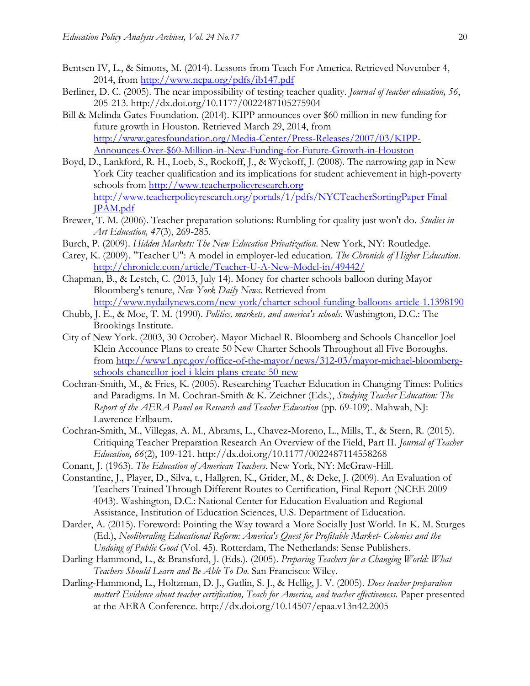- <span id="page-19-15"></span>Bentsen IV, L., & Simons, M. (2014). Lessons from Teach For America. Retrieved November 4, 2014, from<http://www.ncpa.org/pdfs/ib147.pdf>
- <span id="page-19-3"></span>Berliner, D. C. (2005). The near impossibility of testing teacher quality. *Journal of teacher education, 56*, 205-213. http://dx.doi.org/10.1177/0022487105275904
- <span id="page-19-14"></span>Bill & Melinda Gates Foundation. (2014). KIPP announces over \$60 million in new funding for future growth in Houston. Retrieved March 29, 2014, from [http://www.gatesfoundation.org/Media-Center/Press-Releases/2007/03/KIPP-](http://www.gatesfoundation.org/Media-Center/Press-Releases/2007/03/KIPP-Announces-Over-$60-Million-in-New-Funding-for-Future-Growth-in-Houston)[Announces-Over-\\$60-Million-in-New-Funding-for-Future-Growth-in-Houston](http://www.gatesfoundation.org/Media-Center/Press-Releases/2007/03/KIPP-Announces-Over-$60-Million-in-New-Funding-for-Future-Growth-in-Houston)
- <span id="page-19-16"></span>Boyd, D., Lankford, R. H., Loeb, S., Rockoff, J., & Wyckoff, J. (2008). The narrowing gap in New York City teacher qualification and its implications for student achievement in high-poverty schools from [http://www.teacherpolicyresearch.org](http://www.teacherpolicyresearch.org/) [http://www.teacherpolicyresearch.org/portals/1/pdfs/NYCTeacherSortingPaper Final](http://www.teacherpolicyresearch.org/portals/1/pdfs/NYCTeacherSortingPaper%20Final%20JPAM.pdf)  [JPAM.pdf](http://www.teacherpolicyresearch.org/portals/1/pdfs/NYCTeacherSortingPaper%20Final%20JPAM.pdf)
- <span id="page-19-4"></span>Brewer, T. M. (2006). Teacher preparation solutions: Rumbling for quality just won't do. *Studies in Art Education, 47*(3), 269-285.
- <span id="page-19-6"></span>Burch, P. (2009). *Hidden Markets: The New Education Privatization*. New York, NY: Routledge.
- <span id="page-19-11"></span>Carey, K. (2009). "Teacher U": A model in employer-led education. *The Chronicle of Higher Education*. <http://chronicle.com/article/Teacher-U-A-New-Model-in/49442/>
- <span id="page-19-13"></span>Chapman, B., & Lestch, C. (2013, July 14). Money for charter schools balloon during Mayor Bloomberg's tenure, *New York Daily News*. Retrieved from <http://www.nydailynews.com/new-york/charter-school-funding-balloons-article-1.1398190>
- <span id="page-19-5"></span>Chubb, J. E., & Moe, T. M. (1990). *Politics, markets, and america's schools*. Washington, D.C.: The Brookings Institute.
- <span id="page-19-12"></span>City of New York. (2003, 30 October). Mayor Michael R. Bloomberg and Schools Chancellor Joel Klein Accounce Plans to create 50 New Charter Schools Throughout all Five Boroughs. from [http://www1.nyc.gov/office-of-the-mayor/news/312-03/mayor-michael-bloomberg](http://www1.nyc.gov/office-of-the-mayor/news/312-03/mayor-michael-bloomberg-schools-chancellor-joel-i-klein-plans-create-50-new)[schools-chancellor-joel-i-klein-plans-create-50-new](http://www1.nyc.gov/office-of-the-mayor/news/312-03/mayor-michael-bloomberg-schools-chancellor-joel-i-klein-plans-create-50-new)
- <span id="page-19-1"></span>Cochran-Smith, M., & Fries, K. (2005). Researching Teacher Education in Changing Times: Politics and Paradigms. In M. Cochran-Smith & K. Zeichner (Eds.), *Studying Teacher Education: The Report of the AERA Panel on Research and Teacher Education* (pp. 69-109). Mahwah, NJ: Lawrence Erlbaum.
- <span id="page-19-8"></span>Cochran-Smith, M., Villegas, A. M., Abrams, L., Chavez-Moreno, L., Mills, T., & Stern, R. (2015). Critiquing Teacher Preparation Research An Overview of the Field, Part II. *Journal of Teacher Education, 66*(2), 109-121. http://dx.doi.org/10.1177/0022487114558268
- <span id="page-19-2"></span>Conant, J. (1963). *The Education of American Teachers*. New York, NY: McGraw-Hill.
- <span id="page-19-9"></span>Constantine, J., Player, D., Silva, t., Hallgren, K., Grider, M., & Deke, J. (2009). An Evaluation of Teachers Trained Through Different Routes to Certification, Final Report (NCEE 2009- 4043). Washington, D.C.: National Center for Education Evaluation and Regional Assistance, Institution of Education Sciences, U.S. Department of Education.
- <span id="page-19-0"></span>Darder, A. (2015). Foreword: Pointing the Way toward a More Socially Just World. In K. M. Sturges (Ed.), *Neoliberaling Educational Reform: America's Quest for Profitable Market- Colonies and the Undoing of Public Good* (Vol. 45). Rotterdam, The Netherlands: Sense Publishers.
- <span id="page-19-10"></span>Darling-Hammond, L., & Bransford, J. (Eds.). (2005). *Preparing Teachers for a Changing World: What Teachers Should Learn and Be Able To Do*. San Francisco: Wiley.
- <span id="page-19-7"></span>Darling-Hammond, L., Holtzman, D. J., Gatlin, S. J., & Hellig, J. V. (2005). *Does teacher preparation matter? Evidence about teacher certification, Teach for America, and teacher effectiveness*. Paper presented at the AERA Conference. http://dx.doi.org/10.14507/epaa.v13n42.2005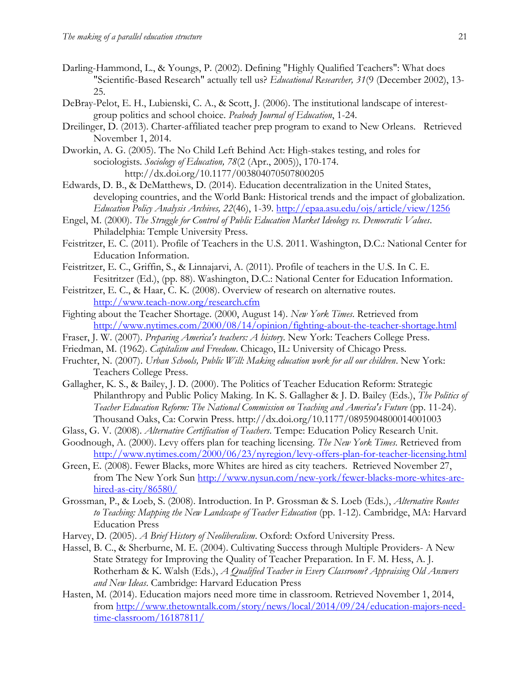- <span id="page-20-3"></span>Darling-Hammond, L., & Youngs, P. (2002). Defining "Highly Qualified Teachers": What does "Scientific-Based Research" actually tell us? *Educational Researcher, 31*(9 (December 2002), 13- 25.
- <span id="page-20-15"></span>DeBray-Pelot, E. H., Lubienski, C. A., & Scott, J. (2006). The institutional landscape of interestgroup politics and school choice. *Peabody Journal of Education*, 1-24.
- <span id="page-20-17"></span>Dreilinger, D. (2013). Charter-affiliated teacher prep program to exand to New Orleans. Retrieved November 1, 2014.
- <span id="page-20-11"></span>Dworkin, A. G. (2005). The No Child Left Behind Act: High-stakes testing, and roles for sociologists. *Sociology of Education, 78*(2 (Apr., 2005)), 170-174. http://dx.doi.org/10.1177/003804070507800205
- <span id="page-20-2"></span>Edwards, D. B., & DeMatthews, D. (2014). Education decentralization in the United States, developing countries, and the World Bank: Historical trends and the impact of globalization. *Education Policy Analysis Archives, 22*(46), 1-39.<http://epaa.asu.edu/ojs/article/view/1256>
- <span id="page-20-8"></span>Engel, M. (2000). *The Struggle for Control of Public Education Market Ideology vs. Democratic Values*. Philadelphia: Temple University Press.
- <span id="page-20-14"></span>Feistritzer, E. C. (2011). Profile of Teachers in the U.S. 2011. Washington, D.C.: National Center for Education Information.
- <span id="page-20-12"></span>Feistritzer, E. C., Griffin, S., & Linnajarvi, A. (2011). Profile of teachers in the U.S. In C. E. Fesitritzer (Ed.), (pp. 88). Washington, D.C.: National Center for Education Information.
- <span id="page-20-19"></span>Feistritzer, E. C., & Haar, C. K. (2008). Overview of research on alternative routes. <http://www.teach-now.org/research.cfm>
- <span id="page-20-0"></span>Fighting about the Teacher Shortage. (2000, August 14). *New York Times*. Retrieved from <http://www.nytimes.com/2000/08/14/opinion/fighting-about-the-teacher-shortage.html>
- <span id="page-20-4"></span>Fraser, J. W. (2007). *Preparing America's teachers: A history*. New York: Teachers College Press.
- <span id="page-20-7"></span>Friedman, M. (1962). *Capitalism and Freedom*. Chicago, IL: University of Chicago Press.
- <span id="page-20-10"></span>Fruchter, N. (2007). *Urban Schools, Public Will: Making education work for all our children*. New York: Teachers College Press.
- <span id="page-20-5"></span>Gallagher, K. S., & Bailey, J. D. (2000). The Politics of Teacher Education Reform: Strategic Philanthropy and Public Policy Making. In K. S. Gallagher & J. D. Bailey (Eds.), *The Politics of Teacher Education Reform: The National Commission on Teaching and America's Future* (pp. 11-24). Thousand Oaks, Ca: Corwin Press. http://dx.doi.org/10.1177/0895904800014001003
- <span id="page-20-13"></span>Glass, G. V. (2008). *Alternative Certification of Teachers*. Tempe: Education Policy Research Unit.
- <span id="page-20-6"></span>Goodnough, A. (2000). Levy offers plan for teaching licensing. *The New York Times*. Retrieved from <http://www.nytimes.com/2000/06/23/nyregion/levy-offers-plan-for-teacher-licensing.html>
- <span id="page-20-20"></span>Green, E. (2008). Fewer Blacks, more Whites are hired as city teachers. Retrieved November 27, from The New York Sun [http://www.nysun.com/new-york/fewer-blacks-more-whites-are](http://www.nysun.com/new-york/fewer-blacks-more-whites-are-hired-as-city/86580/)[hired-as-city/86580/](http://www.nysun.com/new-york/fewer-blacks-more-whites-are-hired-as-city/86580/)
- <span id="page-20-1"></span>Grossman, P., & Loeb, S. (2008). Introduction. In P. Grossman & S. Loeb (Eds.), *Alternative Routes to Teaching: Mapping the New Landscape of Teacher Education* (pp. 1-12). Cambridge, MA: Harvard Education Press
- <span id="page-20-16"></span>Harvey, D. (2005). *A Brief History of Neoliberalism*. Oxford: Oxford University Press.
- <span id="page-20-9"></span>Hassel, B. C., & Sherburne, M. E. (2004). Cultivating Success through Multiple Providers- A New State Strategy for Improving the Quality of Teacher Preparation. In F. M. Hess, A. J. Rotherham & K. Walsh (Eds.), *A Qualified Teacher in Every Classroom? Appraising Old Answers and New Ideas*. Cambridge: Harvard Education Press
- <span id="page-20-18"></span>Hasten, M. (2014). Education majors need more time in classroom. Retrieved November 1, 2014, from [http://www.thetowntalk.com/story/news/local/2014/09/24/education-majors-need](http://www.thetowntalk.com/story/news/local/2014/09/24/education-majors-need-time-classroom/16187811/)[time-classroom/16187811/](http://www.thetowntalk.com/story/news/local/2014/09/24/education-majors-need-time-classroom/16187811/)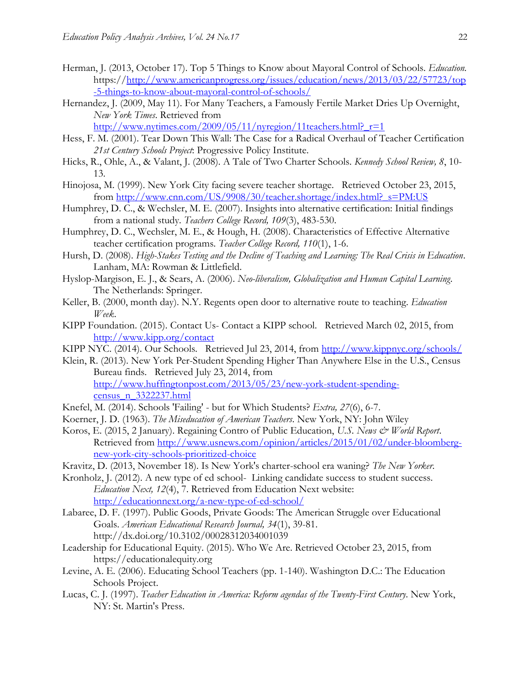- <span id="page-21-13"></span>Herman, J. (2013, October 17). Top 5 Things to Know about Mayoral Control of Schools. *Education.* https:/[/http://www.americanprogress.org/issues/education/news/2013/03/22/57723/top](http://www.americanprogress.org/issues/education/news/2013/03/22/57723/top-5-things-to-know-about-mayoral-control-of-schools/) [-5-things-to-know-about-mayoral-control-of-schools/](http://www.americanprogress.org/issues/education/news/2013/03/22/57723/top-5-things-to-know-about-mayoral-control-of-schools/)
- <span id="page-21-19"></span>Hernandez, J. (2009, May 11). For Many Teachers, a Famously Fertile Market Dries Up Overnight, *New York Times*. Retrieved from

http://www.nytimes.com/2009/05/11/nyregion/11teachers.html? $r=1$ 

- <span id="page-21-3"></span>Hess, F. M. (2001). Tear Down This Wall: The Case for a Radical Overhaul of Teacher Certification *21st Century Schools Project*: Progressive Policy Institute.
- <span id="page-21-16"></span>Hicks, R., Ohle, A., & Valant, J. (2008). A Tale of Two Charter Schools. *Kennedy School Review, 8*, 10- 13.
- <span id="page-21-0"></span>Hinojosa, M. (1999). New York City facing severe teacher shortage. Retrieved October 23, 2015, from [http://www.cnn.com/US/9908/30/teacher.shortage/index.html?\\_s=PM:US](http://www.cnn.com/US/9908/30/teacher.shortage/index.html?_s=PM:US)
- <span id="page-21-8"></span>Humphrey, D. C., & Wechsler, M. E. (2007). Insights into alternative certification: Initial findings from a national study. *Teachers College Record, 109*(3), 483-530.
- <span id="page-21-10"></span>Humphrey, D. C., Wechsler, M. E., & Hough, H. (2008). Characteristics of Effective Alternative teacher certification programs. *Teacher College Record, 110*(1), 1-6.
- <span id="page-21-9"></span>Hursh, D. (2008). *High-Stakes Testing and the Decline of Teaching and Learning: The Real Crisis in Education*. Lanham, MA: Rowman & Littlefield.
- <span id="page-21-1"></span>Hyslop-Margison, E. J., & Sears, A. (2006). *Neo-liberalism, Globalization and Human Capital Learning*. The Netherlands: Springer.
- <span id="page-21-6"></span>Keller, B. (2000, month day). N.Y. Regents open door to alternative route to teaching. *Education Week*.
- <span id="page-21-21"></span>KIPP Foundation. (2015). Contact Us- Contact a KIPP school. Retrieved March 02, 2015, from <http://www.kipp.org/contact>
- <span id="page-21-20"></span>KIPP NYC. (2014). Our Schools. Retrieved Jul 23, 2014, from<http://www.kippnyc.org/schools/>
- <span id="page-21-17"></span>Klein, R. (2013). New York Per-Student Spending Higher Than Anywhere Else in the U.S., Census Bureau finds. Retrieved July 23, 2014, from [http://www.huffingtonpost.com/2013/05/23/new-york-student-spending](http://www.huffingtonpost.com/2013/05/23/new-york-student-spending-census_n_3322237.html)[census\\_n\\_3322237.html](http://www.huffingtonpost.com/2013/05/23/new-york-student-spending-census_n_3322237.html)
- <span id="page-21-14"></span>Knefel, M. (2014). Schools 'Failing' - but for Which Students? *Extra, 27*(6), 6-7.
- <span id="page-21-2"></span>Koerner, J. D. (1963). *The Miseducation of American Teachers*. New York, NY: John Wiley
- <span id="page-21-12"></span>Koros, E. (2015, 2 January). Regaining Contro of Public Education, *U.S. News & World Report*. Retrieved from [http://www.usnews.com/opinion/articles/2015/01/02/under-bloomberg](http://www.usnews.com/opinion/articles/2015/01/02/under-bloomberg-new-york-city-schools-prioritized-choice)[new-york-city-schools-prioritized-choice](http://www.usnews.com/opinion/articles/2015/01/02/under-bloomberg-new-york-city-schools-prioritized-choice)
- <span id="page-21-15"></span>Kravitz, D. (2013, November 18). Is New York's charter-school era waning? *The New Yorker*.
- <span id="page-21-11"></span>Kronholz, J. (2012). A new type of ed school- Linking candidate success to student success. *Education Next, 12*(4), 7. Retrieved from Education Next website: <http://educationnext.org/a-new-type-of-ed-school/>
- <span id="page-21-7"></span>Labaree, D. F. (1997). Public Goods, Private Goods: The American Struggle over Educational Goals. *American Educational Research Journal, 34*(1), 39-81. http://dx.doi.org/10.3102/00028312034001039
- <span id="page-21-18"></span>Leadership for Educational Equity. (2015). Who We Are. Retrieved October 23, 2015, from https://educationalequity.org
- <span id="page-21-4"></span>Levine, A. E. (2006). Educating School Teachers (pp. 1-140). Washington D.C.: The Education Schools Project.
- <span id="page-21-5"></span>Lucas, C. J. (1997). *Teacher Education in America: Reform agendas of the Twenty-First Century*. New York, NY: St. Martin's Press.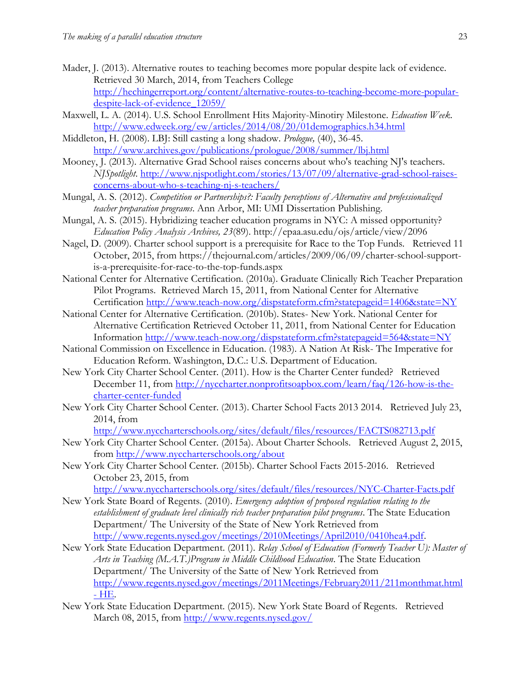- <span id="page-22-6"></span>Mader, J. (2013). Alternative routes to teaching becomes more popular despite lack of evidence. Retrieved 30 March, 2014, from Teachers College [http://hechingerreport.org/content/alternative-routes-to-teaching-become-more-popular](http://hechingerreport.org/content/alternative-routes-to-teaching-become-more-popular-despite-lack-of-evidence_12059/)[despite-lack-of-evidence\\_12059/](http://hechingerreport.org/content/alternative-routes-to-teaching-become-more-popular-despite-lack-of-evidence_12059/)
- <span id="page-22-7"></span>Maxwell, L. A. (2014). U.S. School Enrollment Hits Majority-Minotiry Milestone. *Education Week*. <http://www.edweek.org/ew/articles/2014/08/20/01demographics.h34.html>
- <span id="page-22-2"></span>Middleton, H. (2008). LBJ: Still casting a long shadow. *Prologue,* (40), 36-45. <http://www.archives.gov/publications/prologue/2008/summer/lbj.html>
- <span id="page-22-10"></span>Mooney, J. (2013). Alternative Grad School raises concerns about who's teaching NJ's teachers. *NJSpotlight*. [http://www.njspotlight.com/stories/13/07/09/alternative-grad-school-raises](http://www.njspotlight.com/stories/13/07/09/alternative-grad-school-raises-concerns-about-who-s-teaching-nj-s-teachers/)[concerns-about-who-s-teaching-nj-s-teachers/](http://www.njspotlight.com/stories/13/07/09/alternative-grad-school-raises-concerns-about-who-s-teaching-nj-s-teachers/)
- <span id="page-22-0"></span>Mungal, A. S. (2012). *Competition or Partnerships?: Faculty perceptions of Alternative and professionalized teacher preparation programs*. Ann Arbor, MI: UMI Dissertation Publishing.
- <span id="page-22-1"></span>Mungal, A. S. (2015). Hybridizing teacher education programs in NYC: A missed opportunity? *Education Policy Analysis Archives, 23*(89). http://epaa.asu.edu/ojs/article/view/2096
- <span id="page-22-4"></span>Nagel, D. (2009). Charter school support is a prerequisite for Race to the Top Funds. Retrieved 11 October, 2015, from https://thejournal.com/articles/2009/06/09/charter-school-supportis-a-prerequisite-for-race-to-the-top-funds.aspx
- <span id="page-22-9"></span>National Center for Alternative Certification. (2010a). Graduate Clinically Rich Teacher Preparation Pilot Programs. Retrieved March 15, 2011, from National Center for Alternative Certification<http://www.teach-now.org/dispstateform.cfm?statepageid=1406&state=NY>
- <span id="page-22-5"></span>National Center for Alternative Certification. (2010b). States- New York. National Center for Alternative Certification Retrieved October 11, 2011, from National Center for Education Information<http://www.teach-now.org/dispstateform.cfm?statepageid=564&state=NY>
- <span id="page-22-3"></span>National Commission on Excellence in Education. (1983). A Nation At Risk- The Imperative for Education Reform. Washington, D.C.: U.S. Department of Education.
- <span id="page-22-15"></span>New York City Charter School Center. (2011). How is the Charter Center funded? Retrieved December 11, from [http://nyccharter.nonprofitsoapbox.com/learn/faq/126-how-is-the](http://nyccharter.nonprofitsoapbox.com/learn/faq/126-how-is-the-charter-center-funded)[charter-center-funded](http://nyccharter.nonprofitsoapbox.com/learn/faq/126-how-is-the-charter-center-funded)
- <span id="page-22-14"></span>New York City Charter School Center. (2013). Charter School Facts 2013 2014. Retrieved July 23, 2014, from

<http://www.nyccharterschools.org/sites/default/files/resources/FACTS082713.pdf>

- <span id="page-22-13"></span>New York City Charter School Center. (2015a). About Charter Schools. Retrieved August 2, 2015, from<http://www.nyccharterschools.org/about>
- <span id="page-22-16"></span>New York City Charter School Center. (2015b). Charter School Facts 2015-2016. Retrieved October 23, 2015, from

```
http://www.nyccharterschools.org/sites/default/files/resources/NYC-Charter-Facts.pdf
```
- <span id="page-22-8"></span>New York State Board of Regents. (2010). *Emergency adoption of proposed regulation relating to the establishment of graduate level clinically rich teacher preparation pilot programs*. The State Education Department/ The University of the State of New York Retrieved from [http://www.regents.nysed.gov/meetings/2010Meetings/April2010/0410hea4.pdf.](http://www.regents.nysed.gov/meetings/2010Meetings/April2010/0410hea4.pdf)
- <span id="page-22-11"></span>New York State Education Department. (2011). *Relay School of Education (Formerly Teacher U): Master of Arts in Teaching (M.A.T.)Program in Middle Childhood Education*. The State Education Department/ The University of the Satte of New York Retrieved from [http://www.regents.nysed.gov/meetings/2011Meetings/February2011/211monthmat.html](http://www.regents.nysed.gov/meetings/2011Meetings/February2011/211monthmat.html#HE)  - [HE.](http://www.regents.nysed.gov/meetings/2011Meetings/February2011/211monthmat.html#HE)
- <span id="page-22-12"></span>New York State Education Department. (2015). New York State Board of Regents. Retrieved March 08, 2015, from<http://www.regents.nysed.gov/>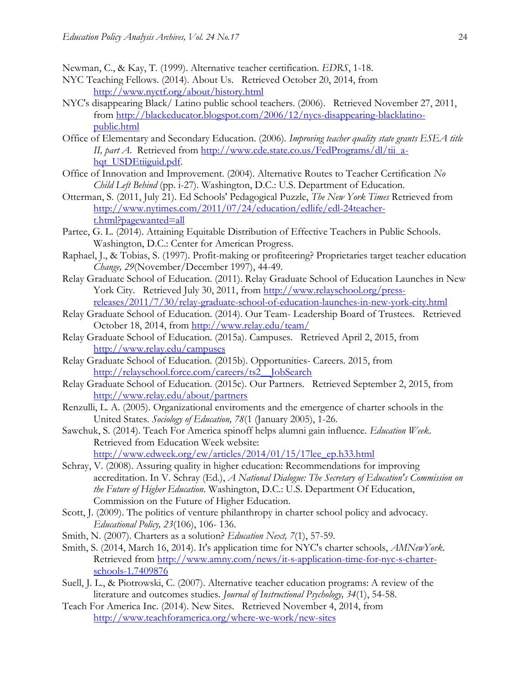<span id="page-23-0"></span>Newman, C., & Kay, T. (1999). Alternative teacher certification. *EDRS*, 1-18.

- <span id="page-23-12"></span>NYC Teaching Fellows. (2014). About Us. Retrieved October 20, 2014, from <http://www.nyctf.org/about/history.html>
- <span id="page-23-19"></span>NYC's disappearing Black/ Latino public school teachers. (2006). Retrieved November 27, 2011, from [http://blackeducator.blogspot.com/2006/12/nycs-disappearing-blacklatino](http://blackeducator.blogspot.com/2006/12/nycs-disappearing-blacklatino-public.html)[public.html](http://blackeducator.blogspot.com/2006/12/nycs-disappearing-blacklatino-public.html)
- <span id="page-23-1"></span>Office of Elementary and Secondary Education. (2006). *Improving teacher quality state grants ESEA title II, part A.* Retrieved from [http://www.cde.state.co.us/FedPrograms/dl/tii\\_a](http://www.cde.state.co.us/FedPrograms/dl/tii_a-hqt_USDEtiiguid.pdf)[hqt\\_USDEtiiguid.pdf.](http://www.cde.state.co.us/FedPrograms/dl/tii_a-hqt_USDEtiiguid.pdf)
- <span id="page-23-6"></span>Office of Innovation and Improvement. (2004). Alternative Routes to Teacher Certification *No Child Left Behind* (pp. i-27). Washington, D.C.: U.S. Department of Education.
- <span id="page-23-9"></span>Otterman, S. (2011, July 21). Ed Schools' Pedagogical Puzzle, *The New York Times* Retrieved from [http://www.nytimes.com/2011/07/24/education/edlife/edl-24teacher](http://www.nytimes.com/2011/07/24/education/edlife/edl-24teacher-t.html?pagewanted=all)[t.html?pagewanted=all](http://www.nytimes.com/2011/07/24/education/edlife/edl-24teacher-t.html?pagewanted=all)
- <span id="page-23-7"></span>Partee, G. L. (2014). Attaining Equitable Distribution of Effective Teachers in Public Schools. Washington, D.C.: Center for American Progress.
- <span id="page-23-5"></span>Raphael, J., & Tobias, S. (1997). Profit-making or profiteering? Proprietaries target teacher education *Change, 29*(November/December 1997), 44-49.
- <span id="page-23-10"></span>Relay Graduate School of Education. (2011). Relay Graduate School of Education Launches in New York City. Retrieved July 30, 2011, from [http://www.relayschool.org/press](http://www.relayschool.org/press-releases/2011/7/30/relay-graduate-school-of-education-launches-in-new-york-city.html)[releases/2011/7/30/relay-graduate-school-of-education-launches-in-new-york-city.html](http://www.relayschool.org/press-releases/2011/7/30/relay-graduate-school-of-education-launches-in-new-york-city.html)
- <span id="page-23-14"></span>Relay Graduate School of Education. (2014). Our Team- Leadership Board of Trustees. Retrieved October 18, 2014, from<http://www.relay.edu/team/>
- <span id="page-23-16"></span>Relay Graduate School of Education. (2015a). Campuses. Retrieved April 2, 2015, from <http://www.relay.edu/campuses>
- <span id="page-23-17"></span>Relay Graduate School of Education. (2015b). Opportunities- Careers. 2015, from [http://relayschool.force.com/careers/ts2\\_\\_JobSearch](http://relayschool.force.com/careers/ts2__JobSearch)
- <span id="page-23-15"></span>Relay Graduate School of Education. (2015c). Our Partners. Retrieved September 2, 2015, from <http://www.relay.edu/about/partners>
- <span id="page-23-2"></span>Renzulli, L. A. (2005). Organizational enviroments and the emergence of charter schools in the United States. *Sociology of Education, 78*(1 (January 2005), 1-26.
- <span id="page-23-11"></span>Sawchuk, S. (2014). Teach For America spinoff helps alumni gain influence. *Education Week*. Retrieved from Education Week website: [http://www.edweek.org/ew/articles/2014/01/15/17lee\\_ep.h33.html](http://www.edweek.org/ew/articles/2014/01/15/17lee_ep.h33.html)
- <span id="page-23-13"></span>Schray, V. (2008). Assuring quality in higher education: Recommendations for improving accreditation. In V. Schray (Ed.), *A National Dialogue: The Secretary of Education's Commission on the Future of Higher Education*. Washington, D.C.: U.S. Department Of Education, Commission on the Future of Higher Education.
- <span id="page-23-4"></span>Scott, J. (2009). The politics of venture philanthropy in charter school policy and advocacy. *Educational Policy, 23*(106), 106- 136.
- <span id="page-23-3"></span>Smith, N. (2007). Charters as a solution? *Education Next, 7*(1), 57-59.
- Smith, S. (2014, March 16, 2014). It's application time for NYC's charter schools, *AMNewYork*. Retrieved from [http://www.amny.com/news/it-s-application-time-for-nyc-s-charter](http://www.amny.com/news/it-s-application-time-for-nyc-s-charter-schools-1.7409876)[schools-1.7409876](http://www.amny.com/news/it-s-application-time-for-nyc-s-charter-schools-1.7409876)
- <span id="page-23-8"></span>Suell, J. L., & Piotrowski, C. (2007). Alternative teacher education programs: A review of the literature and outcomes studies. *Journal of Instructional Psychology, 34*(1), 54-58.
- <span id="page-23-18"></span>Teach For America Inc. (2014). New Sites. Retrieved November 4, 2014, from <http://www.teachforamerica.org/where-we-work/new-sites>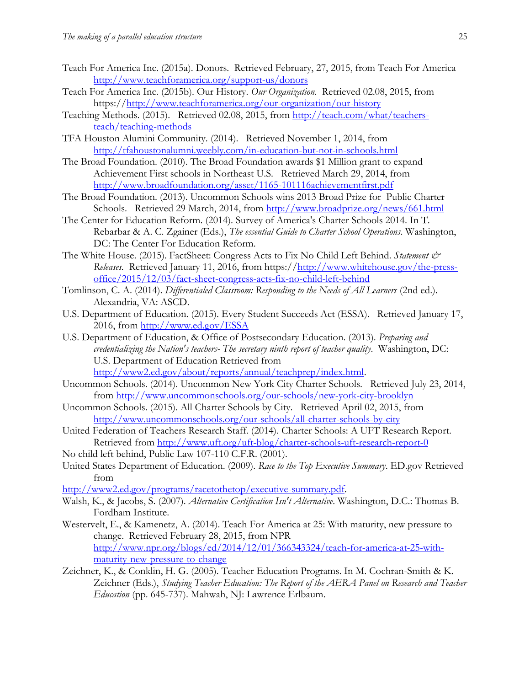- <span id="page-24-9"></span>Teach For America Inc. (2015a). Donors. Retrieved February, 27, 2015, from Teach For America <http://www.teachforamerica.org/support-us/donors>
- <span id="page-24-7"></span>Teach For America Inc. (2015b). Our History. *Our Organization.* Retrieved 02.08, 2015, from https:/[/http://www.teachforamerica.org/our-organization/our-history](http://www.teachforamerica.org/our-organization/our-history)
- <span id="page-24-13"></span>Teaching Methods. (2015). Retrieved 02.08, 2015, from [http://teach.com/what/teachers](http://teach.com/what/teachers-teach/teaching-methods)[teach/teaching-methods](http://teach.com/what/teachers-teach/teaching-methods)
- <span id="page-24-18"></span>TFA Houston Alumini Community. (2014). Retrieved November 1, 2014, from <http://tfahoustonalumni.weebly.com/in-education-but-not-in-schools.html>
- <span id="page-24-10"></span>The Broad Foundation. (2010). The Broad Foundation awards \$1 Million grant to expand Achievement First schools in Northeast U.S. Retrieved March 29, 2014, from <http://www.broadfoundation.org/asset/1165-101116achievementfirst.pdf>
- <span id="page-24-11"></span>The Broad Foundation. (2013). Uncommon Schools wins 2013 Broad Prize for Public Charter Schools. Retrieved 29 March, 2014, from<http://www.broadprize.org/news/661.html>
- <span id="page-24-16"></span>The Center for Education Reform. (2014). Survey of America's Charter Schools 2014. In T. Rebarbar & A. C. Zgainer (Eds.), *The essential Guide to Charter School Operations*. Washington, DC: The Center For Education Reform.
- <span id="page-24-4"></span>The White House. (2015). FactSheet: Congress Acts to Fix No Child Left Behind. *Statement & Releases.* Retrieved January 11, 2016, from https:/[/http://www.whitehouse.gov/the-press](http://www.whitehouse.gov/the-press-office/2015/12/03/fact-sheet-congress-acts-fix-no-child-left-behind)[office/2015/12/03/fact-sheet-congress-acts-fix-no-child-left-behind](http://www.whitehouse.gov/the-press-office/2015/12/03/fact-sheet-congress-acts-fix-no-child-left-behind)
- <span id="page-24-14"></span>Tomlinson, C. A. (2014). *Differentialed Classroom: Responding to the Needs of All Learners* (2nd ed.). Alexandria, VA: ASCD.
- <span id="page-24-3"></span>U.S. Department of Education. (2015). Every Student Succeeds Act (ESSA). Retrieved January 17, 2016, from<http://www.ed.gov/ESSA>
- <span id="page-24-0"></span>U.S. Department of Education, & Office of Postsecondary Education. (2013). *Preparing and credentializing the Nation's teachers- The secretary ninth report of teacher quality*. Washington, DC: U.S. Department of Education Retrieved from [http://www2.ed.gov/about/reports/annual/teachprep/index.html.](http://www2.ed.gov/about/reports/annual/teachprep/index.html)
- <span id="page-24-15"></span>Uncommon Schools. (2014). Uncommon New York City Charter Schools. Retrieved July 23, 2014, from<http://www.uncommonschools.org/our-schools/new-york-city-brooklyn>
- <span id="page-24-17"></span>Uncommon Schools. (2015). All Charter Schools by City. Retrieved April 02, 2015, from <http://www.uncommonschools.org/our-schools/all-charter-schools-by-city>
- <span id="page-24-12"></span>United Federation of Teachers Research Staff. (2014). Charter Schools: A UFT Research Report. Retrieved from<http://www.uft.org/uft-blog/charter-schools-uft-research-report-0>
- <span id="page-24-1"></span>No child left behind, Public Law 107-110 C.F.R. (2001).
- <span id="page-24-2"></span>United States Department of Education. (2009). *Race to the Top Executive Summary*. ED.gov Retrieved from

[http://www2.ed.gov/programs/racetothetop/executive-summary.pdf.](http://www2.ed.gov/programs/racetothetop/executive-summary.pdf)

- <span id="page-24-5"></span>Walsh, K., & Jacobs, S. (2007). *Alternative Certification Isn't Alternative*. Washington, D.C.: Thomas B. Fordham Institute.
- <span id="page-24-6"></span>Westervelt, E., & Kamenetz, A. (2014). Teach For America at 25: With maturity, new pressure to change. Retrieved February 28, 2015, from NPR [http://www.npr.org/blogs/ed/2014/12/01/366343324/teach-for-america-at-25-with](http://www.npr.org/blogs/ed/2014/12/01/366343324/teach-for-america-at-25-with-maturity-new-pressure-to-change)[maturity-new-pressure-to-change](http://www.npr.org/blogs/ed/2014/12/01/366343324/teach-for-america-at-25-with-maturity-new-pressure-to-change)
- <span id="page-24-8"></span>Zeichner, K., & Conklin, H. G. (2005). Teacher Education Programs. In M. Cochran-Smith & K. Zeichner (Eds.), *Studying Teacher Education: The Report of the AERA Panel on Research and Teacher Education* (pp. 645-737). Mahwah, NJ: Lawrence Erlbaum.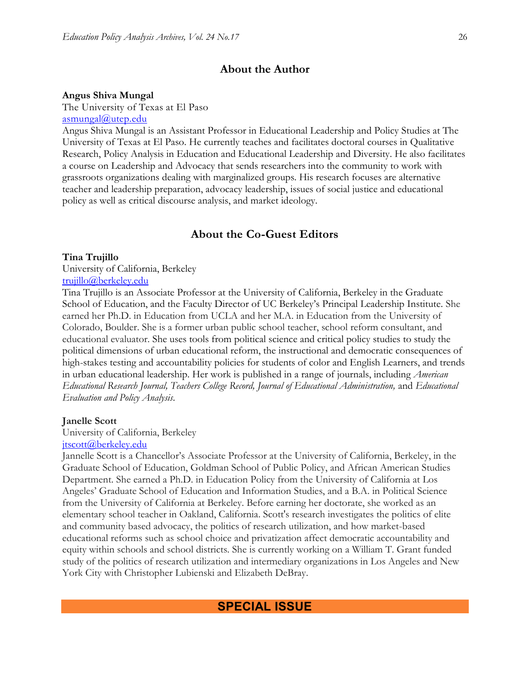#### **About the Author**

#### **Angus Shiva Mungal**

The University of Texas at El Paso [asmungal@utep.edu](mailto:asmungal@utep.edu)

Angus Shiva Mungal is an Assistant Professor in Educational Leadership and Policy Studies at The University of Texas at El Paso. He currently teaches and facilitates doctoral courses in Qualitative Research, Policy Analysis in Education and Educational Leadership and Diversity. He also facilitates a course on Leadership and Advocacy that sends researchers into the community to work with grassroots organizations dealing with marginalized groups. His research focuses are alternative teacher and leadership preparation, advocacy leadership, issues of social justice and educational policy as well as critical discourse analysis, and market ideology.

# **About the Co-Guest Editors**

#### **Tina Trujillo**

University of California, Berkeley [trujillo@berkeley.edu](mailto:trujillo@berkeley.edu)

Tina Trujillo is an Associate Professor at the University of California, Berkeley in the Graduate School of Education, and the Faculty Director of UC Berkeley's Principal Leadership Institute. She earned her Ph.D. in Education from UCLA and her M.A. in Education from the University of Colorado, Boulder. She is a former urban public school teacher, school reform consultant, and educational evaluator. She uses tools from political science and critical policy studies to study the political dimensions of urban educational reform, the instructional and democratic consequences of high-stakes testing and accountability policies for students of color and English Learners, and trends in urban educational leadership. Her work is published in a range of journals, including *American Educational Research Journal, Teachers College Record, Journal of Educational Administration,* and *Educational Evaluation and Policy Analysis*.

#### **Janelle Scott**

University of California, Berkeley

#### [jtscott@berkeley.edu](mailto:jtscott@berkeley.edu)

Jannelle Scott is a Chancellor's Associate Professor at the University of California, Berkeley, in the Graduate School of Education, Goldman School of Public Policy, and African American Studies Department. She earned a Ph.D. in Education Policy from the University of California at Los Angeles' Graduate School of Education and Information Studies, and a B.A. in Political Science from the University of California at Berkeley. Before earning her doctorate, she worked as an elementary school teacher in Oakland, California. Scott's research investigates the politics of elite and community based advocacy, the politics of research utilization, and how market-based educational reforms such as school choice and privatization affect democratic accountability and equity within schools and school districts. She is currently working on a William T. Grant funded study of the politics of research utilization and intermediary organizations in Los Angeles and New York City with Christopher Lubienski and Elizabeth DeBray.

# **SPECIAL ISSUE**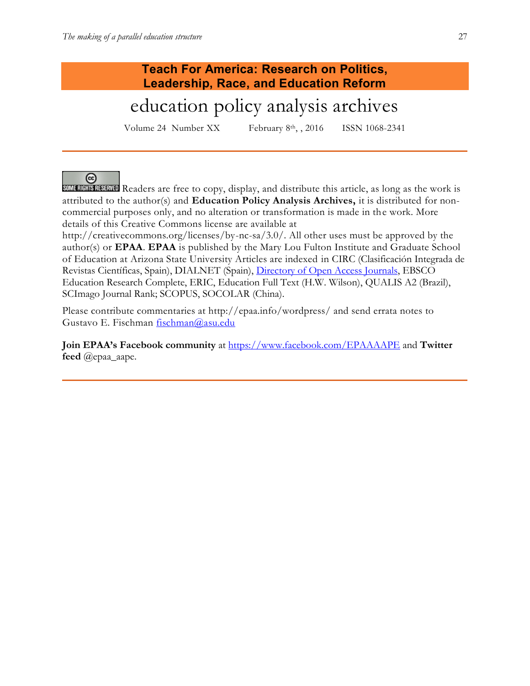# **Teach For America: Research on Politics, Leadership, Race, and Education Reform**

# education policy analysis archives

Volume 24 Number XX February 8th, , 2016 ISSN 1068-2341

# @

**SOME RIGHTS RESERVED** Readers are free to copy, display, and distribute this article, as long as the work is attributed to the author(s) and **Education Policy Analysis Archives,** it is distributed for noncommercial purposes only, and no alteration or transformation is made in the work. More details of this Creative Commons license are available at

http://creativecommons.org/licenses/by-nc-sa/3.0/. All other uses must be approved by the author(s) or **EPAA**. **EPAA** is published by the Mary Lou Fulton Institute and Graduate School of Education at Arizona State University Articles are indexed in CIRC (Clasificación Integrada de Revistas Científicas, Spain), DIALNET (Spain), [Directory of Open Access Journals,](http://www.doaj.org/) EBSCO Education Research Complete, ERIC, Education Full Text (H.W. Wilson), QUALIS A2 (Brazil), SCImago Journal Rank; SCOPUS, SOCOLAR (China).

Please contribute commentaries at http://epaa.info/wordpress/ and send errata notes to Gustavo E. Fischman [fischman@asu.edu](mailto:fischman@asu.edu)

**Join EPAA's Facebook community** at<https://www.facebook.com/EPAAAAPE> and **Twitter feed** @epaa\_aape.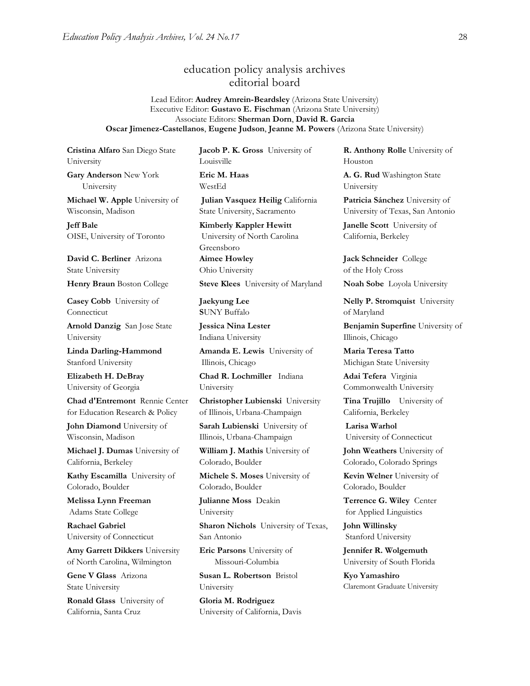# education policy analysis archives editorial board

Lead Editor: **Audrey Amrein-Beardsley** (Arizona State University) Executive Editor: **Gustavo E. Fischman** (Arizona State University) Associate Editors: **Sherman Dorn**, **David R. Garcia Oscar Jimenez-Castellanos**, **Eugene Judson**, **Jeanne M. Powers** (Arizona State University)

**Cristina Alfaro** San Diego State University

**Gary Anderson** New York University

**Michael W. Apple** University of Wisconsin, Madison

**Jeff Bale** OISE, University of Toronto

**David C. Berliner** Arizona State University

**Casey Cobb** University of Connecticut

**Arnold Danzig** San Jose State University

**Linda Darling-Hammond**  Stanford University

**Elizabeth H. DeBray** University of Georgia

**Chad d'Entremont** Rennie Center for Education Research & Policy

**John Diamond** University of Wisconsin, Madison

**Michael J. Dumas** University of California, Berkeley

**Kathy Escamilla** University of Colorado, Boulder

**Melissa Lynn Freeman**  Adams State College

**Rachael Gabriel** University of Connecticut

**Amy Garrett Dikkers** University of North Carolina, Wilmington

**Gene V Glass** Arizona State University

**Ronald Glass** University of California, Santa Cruz

**Jacob P. K. Gross** University of Louisville **Eric M. Haas** 

WestEd

**Julian Vasquez Heilig** California State University, Sacramento

**Kimberly Kappler Hewitt** University of North Carolina Greensboro **Aimee Howley** Ohio University

**Henry Braun** Boston College **Steve Klees** University of Maryland **Noah Sobe** Loyola University

**Jaekyung Lee S**UNY Buffalo

**Jessica Nina Lester** Indiana University

**Amanda E. Lewis** University of Illinois, Chicago

**Chad R. Lochmiller** Indiana University

**Christopher Lubienski** University of Illinois, Urbana-Champaign

**Sarah Lubienski** University of Illinois, Urbana-Champaign

**William J. Mathis** University of Colorado, Boulder

**Michele S. Moses** University of Colorado, Boulder

**Julianne Moss** Deakin University

**Sharon Nichols** University of Texas, San Antonio

**Eric Parsons** University of Missouri-Columbia

**Susan L. Robertson** Bristol University

**Gloria M. Rodriguez** University of California, Davis **R. Anthony Rolle** University of Houston

**A. G. Rud** Washington State University

**Patricia Sánchez** University of University of Texas, San Antonio

**Janelle Scott** University of California, Berkeley

**Jack Schneider** College of the Holy Cross

**Nelly P. Stromquist** University of Maryland

**Benjamin Superfine** University of Illinois, Chicago

**Maria Teresa Tatto**  Michigan State University

**Adai Tefera** Virginia Commonwealth University

**Tina Trujillo** University of California, Berkeley

**Larisa Warhol** University of Connecticut

**John Weathers** University of Colorado, Colorado Springs

**Kevin Welner** University of Colorado, Boulder

**Terrence G. Wiley** Center for Applied Linguistics

**John Willinsky**  Stanford University

**Jennifer R. Wolgemuth**  University of South Florida

**Kyo Yamashiro**  Claremont Graduate University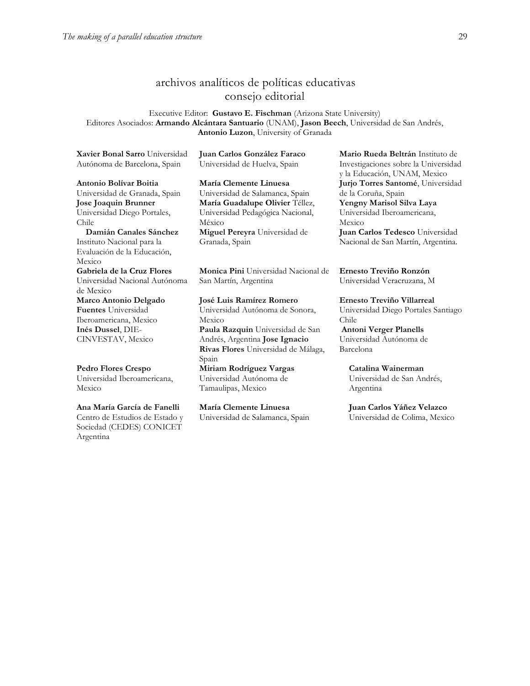# archivos analíticos de políticas educativas consejo editorial

Executive Editor: **Gustavo E. Fischman** (Arizona State University) Editores Asociados: **Armando Alcántara Santuario** (UNAM), **Jason Beech**, Universidad de San Andrés, **Antonio Luzon**, University of Granada

**[Xavier Bonal](javascript:openRTWindow() Sarro** Universidad Autónoma de Barcelona, Spain

**[Antonio Bolívar](javascript:openRTWindow() Boitia** Universidad de Granada, Spain **[Jose Joaquin Brunner](javascript:openRTWindow()** Universidad Diego Portales, Chile

 **[Damián Canales Sánchez](javascript:openRTWindow()** Instituto Nacional para la Evaluación de la Educación, Mexico **Gabriela de la Cruz Flores** Universidad Nacional Autónoma

de Mexico **[Marco Antonio Delgado](javascript:openRTWindow()  [Fuentes](javascript:openRTWindow()** Universidad Iberoamericana, Mexico **[Inés Dussel](javascript:openRTWindow()**, DIE-CINVESTAV, Mexico

**[Pedro Flores Crespo](javascript:openRTWindow()** Universidad Iberoamericana, Mexico

**[Ana María García de Fanelli](javascript:openRTWindow()** Centro de Estudios de Estado y Sociedad (CEDES) CONICET Argentina

**Juan Carlos González Faraco**  Universidad de Huelva, Spain

**María Clemente Linuesa**  Universidad de Salamanca, Spain **María Guadalupe Olivier** Téllez, Universidad Pedagógica Nacional, México **[Miguel Pereyra](javascript:openRTWindow()** Universidad de Granada, Spain

**[Monica Pini](javascript:openRTWindow()** Universidad Nacional de San Martín, Argentina

**[José Luis Ramírez](javascript:openRTWindow() Romero** Universidad Autónoma de Sonora, Mexico **[Paula Razquin](javascript:openRTWindow()** Universidad de San Andrés, Argentina **[Jose Ignacio](javascript:openRTWindow()  [Rivas Flores](javascript:openRTWindow()** Universidad de Málaga, Spain **[Miriam Rodríguez Vargas](javascript:openRTWindow()** Universidad Autónoma de Tamaulipas, Mexico

**María Clemente Linuesa**  Universidad de Salamanca, Spain **[Mario Rueda Beltrán](javascript:openRTWindow()** Instituto de Investigaciones sobre la Universidad y la Educación, UNAM, Mexico **[Jurjo Torres Santomé](javascript:openRTWindow()**, Universidad de la Coruña, Spain **[Yengny Marisol Silva Laya](javascript:openRTWindow()** Universidad Iberoamericana, Mexico

**Juan Carlos Tedesco** Universidad Nacional de San Martín, Argentina.

**Ernesto Treviño Ronzón** Universidad Veracruzana, M

**[Ernesto Treviño](javascript:openRTWindow() Villarreal** Universidad Diego Portales Santiago Chile **[Antoni Verger Planells](javascript:openRTWindow()** Universidad Autónoma de Barcelona

**[Catalina Wainerman](javascript:openRTWindow()** Universidad de San Andrés, Argentina

**Juan Carlos Yáñez Velazco** Universidad de Colima, Mexico